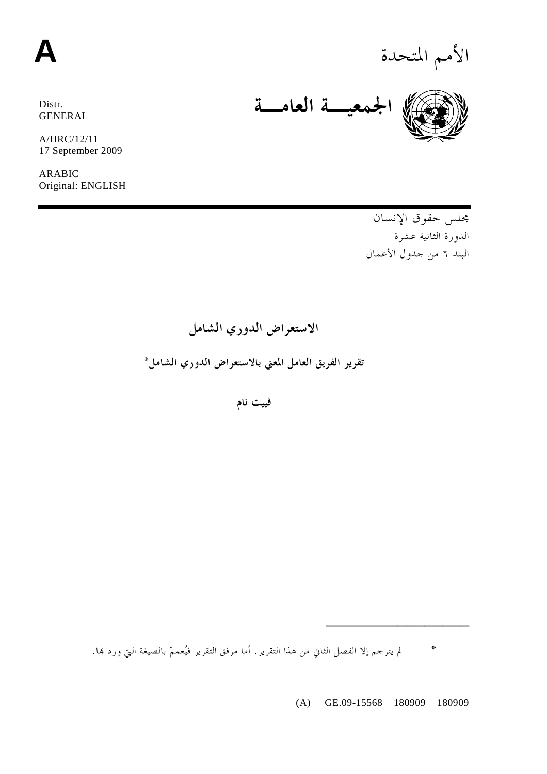# الأمم المتحدة **A**



A/HRC/12/11 17 September 2009

ARABIC Original: ENGLISH

**الجمعيـة العامـة**

مجلس حقوق الإنسان الدورة الثانية عشرة البند ٦ من جدول الأعمال

**الاستعراض الدوري الشامل تقرير الفريق العامل المعني بالاستعراض الدوري الشامل\*** 

**فييت نام** 

**\*** لم يترجم إلا الفصل الثاني من هذا التقرير. أما مرفق التقرير فيُعممّ بالصيغة التي ورد هبا.

(A) GE.09-15568 180909 180909

ــــــــــــــــ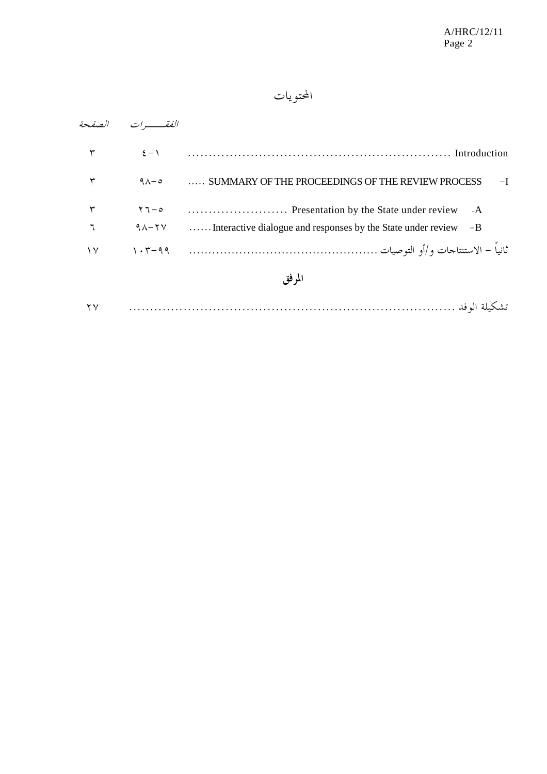### المحتويات

|        | الفقسسه ات          |                                                                      |
|--------|---------------------|----------------------------------------------------------------------|
| ٣      | $\xi - \lambda$     | Introduction (Introduction)                                          |
| ٣      | $9\lambda - 9$      | SUMMARY OF THE PROCEEDINGS OF THE REVIEW PROCESS<br>$-I$             |
|        | $\gamma - \rho$     | $-A$                                                                 |
|        | $9 \lambda - 7 \nu$ | Interactive dialogue and responses by the State under review<br>$-B$ |
| ۱۷     | $1.5 - 99$          |                                                                      |
| المرفق |                     |                                                                      |
| ۲ ۷    |                     |                                                                      |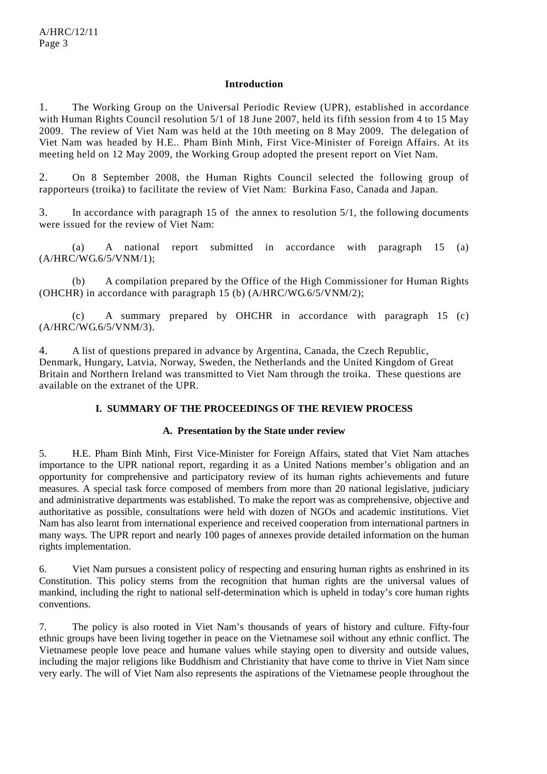#### **Introduction**

1. The Working Group on the Universal Periodic Review (UPR), established in accordance with Human Rights Council resolution 5/1 of 18 June 2007, held its fifth session from 4 to 15 May 2009. The review of Viet Nam was held at the 10th meeting on 8 May 2009. The delegation of Viet Nam was headed by H.E.. Pham Binh Minh, First Vice-Minister of Foreign Affairs. At its meeting held on 12 May 2009, the Working Group adopted the present report on Viet Nam.

2. On 8 September 2008, the Human Rights Council selected the following group of rapporteurs (troika) to facilitate the review of Viet Nam: Burkina Faso, Canada and Japan.

3. In accordance with paragraph 15 of the annex to resolution 5/1, the following documents were issued for the review of Viet Nam:

 (a) A national report submitted in accordance with paragraph 15 (a) (A/HRC/WG.6/5/VNM/1);

 (b) A compilation prepared by the Office of the High Commissioner for Human Rights (OHCHR) in accordance with paragraph 15 (b) (A/HRC/WG.6/5/VNM/2);

 (c) A summary prepared by OHCHR in accordance with paragraph 15 (c) (A/HRC/WG.6/5/VNM/3).

4. A list of questions prepared in advance by Argentina, Canada, the Czech Republic, Denmark, Hungary, Latvia, Norway, Sweden, the Netherlands and the United Kingdom of Great Britain and Northern Ireland was transmitted to Viet Nam through the troika. These questions are available on the extranet of the UPR.

#### **I. SUMMARY OF THE PROCEEDINGS OF THE REVIEW PROCESS**

#### **A. Presentation by the State under review**

5. H.E. Pham Binh Minh, First Vice-Minister for Foreign Affairs, stated that Viet Nam attaches importance to the UPR national report, regarding it as a United Nations member's obligation and an opportunity for comprehensive and participatory review of its human rights achievements and future measures. A special task force composed of members from more than 20 national legislative, judiciary and administrative departments was established. To make the report was as comprehensive, objective and authoritative as possible, consultations were held with dozen of NGOs and academic institutions. Viet Nam has also learnt from international experience and received cooperation from international partners in many ways. The UPR report and nearly 100 pages of annexes provide detailed information on the human rights implementation.

6. Viet Nam pursues a consistent policy of respecting and ensuring human rights as enshrined in its Constitution. This policy stems from the recognition that human rights are the universal values of mankind, including the right to national self-determination which is upheld in today's core human rights conventions.

7. The policy is also rooted in Viet Nam's thousands of years of history and culture. Fifty-four ethnic groups have been living together in peace on the Vietnamese soil without any ethnic conflict. The Vietnamese people love peace and humane values while staying open to diversity and outside values, including the major religions like Buddhism and Christianity that have come to thrive in Viet Nam since very early. The will of Viet Nam also represents the aspirations of the Vietnamese people throughout the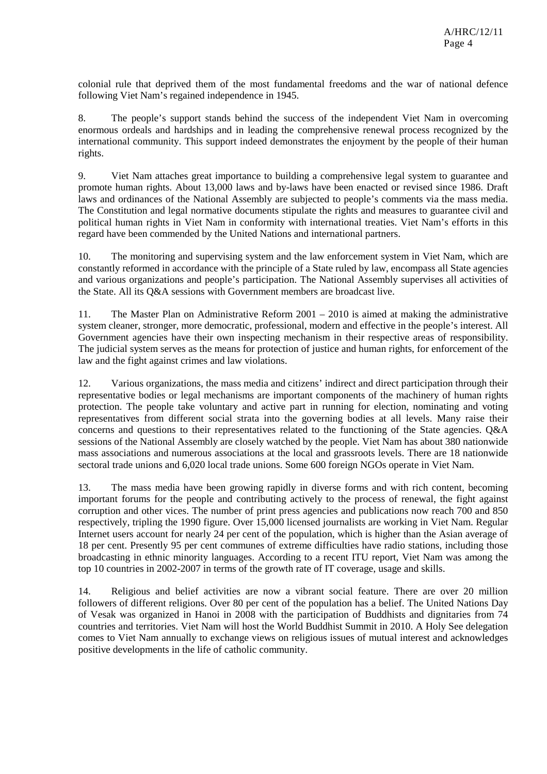colonial rule that deprived them of the most fundamental freedoms and the war of national defence following Viet Nam's regained independence in 1945.

8. The people's support stands behind the success of the independent Viet Nam in overcoming enormous ordeals and hardships and in leading the comprehensive renewal process recognized by the international community. This support indeed demonstrates the enjoyment by the people of their human rights.

9. Viet Nam attaches great importance to building a comprehensive legal system to guarantee and promote human rights. About 13,000 laws and by-laws have been enacted or revised since 1986. Draft laws and ordinances of the National Assembly are subjected to people's comments via the mass media. The Constitution and legal normative documents stipulate the rights and measures to guarantee civil and political human rights in Viet Nam in conformity with international treaties. Viet Nam's efforts in this regard have been commended by the United Nations and international partners.

10. The monitoring and supervising system and the law enforcement system in Viet Nam, which are constantly reformed in accordance with the principle of a State ruled by law, encompass all State agencies and various organizations and people's participation. The National Assembly supervises all activities of the State. All its Q&A sessions with Government members are broadcast live.

11. The Master Plan on Administrative Reform 2001 – 2010 is aimed at making the administrative system cleaner, stronger, more democratic, professional, modern and effective in the people's interest. All Government agencies have their own inspecting mechanism in their respective areas of responsibility. The judicial system serves as the means for protection of justice and human rights, for enforcement of the law and the fight against crimes and law violations.

12. Various organizations, the mass media and citizens' indirect and direct participation through their representative bodies or legal mechanisms are important components of the machinery of human rights protection. The people take voluntary and active part in running for election, nominating and voting representatives from different social strata into the governing bodies at all levels. Many raise their concerns and questions to their representatives related to the functioning of the State agencies. Q&A sessions of the National Assembly are closely watched by the people. Viet Nam has about 380 nationwide mass associations and numerous associations at the local and grassroots levels. There are 18 nationwide sectoral trade unions and 6,020 local trade unions. Some 600 foreign NGOs operate in Viet Nam.

13. The mass media have been growing rapidly in diverse forms and with rich content, becoming important forums for the people and contributing actively to the process of renewal, the fight against corruption and other vices. The number of print press agencies and publications now reach 700 and 850 respectively, tripling the 1990 figure. Over 15,000 licensed journalists are working in Viet Nam. Regular Internet users account for nearly 24 per cent of the population, which is higher than the Asian average of 18 per cent. Presently 95 per cent communes of extreme difficulties have radio stations, including those broadcasting in ethnic minority languages. According to a recent ITU report, Viet Nam was among the top 10 countries in 2002-2007 in terms of the growth rate of IT coverage, usage and skills.

14. Religious and belief activities are now a vibrant social feature. There are over 20 million followers of different religions. Over 80 per cent of the population has a belief. The United Nations Day of Vesak was organized in Hanoi in 2008 with the participation of Buddhists and dignitaries from 74 countries and territories. Viet Nam will host the World Buddhist Summit in 2010. A Holy See delegation comes to Viet Nam annually to exchange views on religious issues of mutual interest and acknowledges positive developments in the life of catholic community.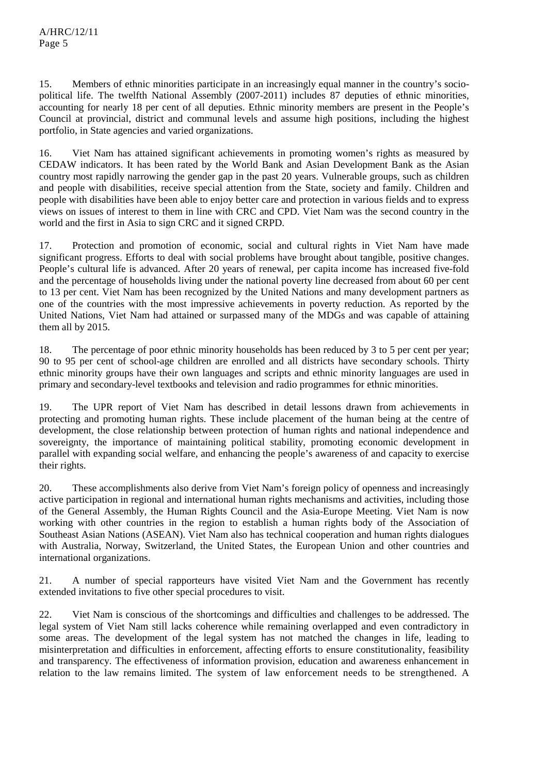15. Members of ethnic minorities participate in an increasingly equal manner in the country's sociopolitical life. The twelfth National Assembly (2007-2011) includes 87 deputies of ethnic minorities, accounting for nearly 18 per cent of all deputies. Ethnic minority members are present in the People's Council at provincial, district and communal levels and assume high positions, including the highest portfolio, in State agencies and varied organizations.

16. Viet Nam has attained significant achievements in promoting women's rights as measured by CEDAW indicators. It has been rated by the World Bank and Asian Development Bank as the Asian country most rapidly narrowing the gender gap in the past 20 years. Vulnerable groups, such as children and people with disabilities, receive special attention from the State, society and family. Children and people with disabilities have been able to enjoy better care and protection in various fields and to express views on issues of interest to them in line with CRC and CPD. Viet Nam was the second country in the world and the first in Asia to sign CRC and it signed CRPD.

17. Protection and promotion of economic, social and cultural rights in Viet Nam have made significant progress. Efforts to deal with social problems have brought about tangible, positive changes. People's cultural life is advanced. After 20 years of renewal, per capita income has increased five-fold and the percentage of households living under the national poverty line decreased from about 60 per cent to 13 per cent. Viet Nam has been recognized by the United Nations and many development partners as one of the countries with the most impressive achievements in poverty reduction. As reported by the United Nations, Viet Nam had attained or surpassed many of the MDGs and was capable of attaining them all by 2015.

18. The percentage of poor ethnic minority households has been reduced by 3 to 5 per cent per year; 90 to 95 per cent of school-age children are enrolled and all districts have secondary schools. Thirty ethnic minority groups have their own languages and scripts and ethnic minority languages are used in primary and secondary-level textbooks and television and radio programmes for ethnic minorities.

19. The UPR report of Viet Nam has described in detail lessons drawn from achievements in protecting and promoting human rights. These include placement of the human being at the centre of development, the close relationship between protection of human rights and national independence and sovereignty, the importance of maintaining political stability, promoting economic development in parallel with expanding social welfare, and enhancing the people's awareness of and capacity to exercise their rights.

20. These accomplishments also derive from Viet Nam's foreign policy of openness and increasingly active participation in regional and international human rights mechanisms and activities, including those of the General Assembly, the Human Rights Council and the Asia-Europe Meeting. Viet Nam is now working with other countries in the region to establish a human rights body of the Association of Southeast Asian Nations (ASEAN). Viet Nam also has technical cooperation and human rights dialogues with Australia, Norway, Switzerland, the United States, the European Union and other countries and international organizations.

21. A number of special rapporteurs have visited Viet Nam and the Government has recently extended invitations to five other special procedures to visit.

22. Viet Nam is conscious of the shortcomings and difficulties and challenges to be addressed. The legal system of Viet Nam still lacks coherence while remaining overlapped and even contradictory in some areas. The development of the legal system has not matched the changes in life, leading to misinterpretation and difficulties in enforcement, affecting efforts to ensure constitutionality, feasibility and transparency. The effectiveness of information provision, education and awareness enhancement in relation to the law remains limited. The system of law enforcement needs to be strengthened. A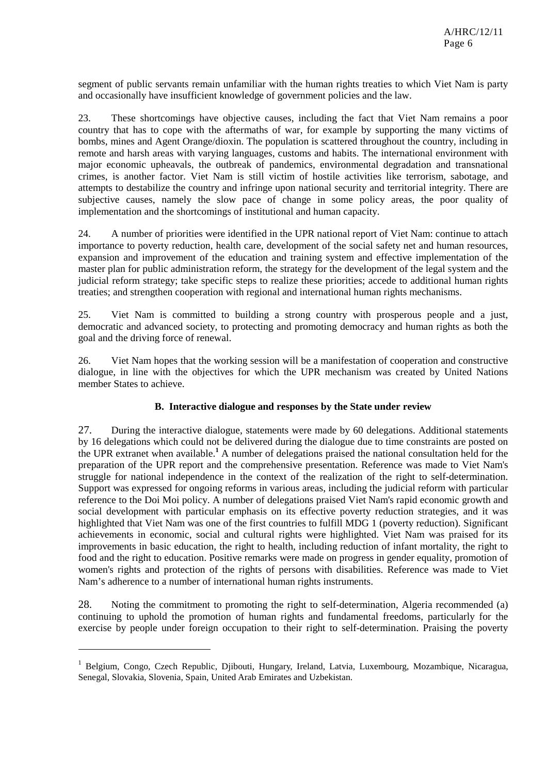segment of public servants remain unfamiliar with the human rights treaties to which Viet Nam is party and occasionally have insufficient knowledge of government policies and the law.

23. These shortcomings have objective causes, including the fact that Viet Nam remains a poor country that has to cope with the aftermaths of war, for example by supporting the many victims of bombs, mines and Agent Orange/dioxin. The population is scattered throughout the country, including in remote and harsh areas with varying languages, customs and habits. The international environment with major economic upheavals, the outbreak of pandemics, environmental degradation and transnational crimes, is another factor. Viet Nam is still victim of hostile activities like terrorism, sabotage, and attempts to destabilize the country and infringe upon national security and territorial integrity. There are subjective causes, namely the slow pace of change in some policy areas, the poor quality of implementation and the shortcomings of institutional and human capacity.

24. A number of priorities were identified in the UPR national report of Viet Nam: continue to attach importance to poverty reduction, health care, development of the social safety net and human resources, expansion and improvement of the education and training system and effective implementation of the master plan for public administration reform, the strategy for the development of the legal system and the judicial reform strategy; take specific steps to realize these priorities; accede to additional human rights treaties; and strengthen cooperation with regional and international human rights mechanisms.

25. Viet Nam is committed to building a strong country with prosperous people and a just, democratic and advanced society, to protecting and promoting democracy and human rights as both the goal and the driving force of renewal.

26. Viet Nam hopes that the working session will be a manifestation of cooperation and constructive dialogue, in line with the objectives for which the UPR mechanism was created by United Nations member States to achieve.

#### **B. Interactive dialogue and responses by the State under review**

27. During the interactive dialogue, statements were made by 60 delegations. Additional statements by 16 delegations which could not be delivered during the dialogue due to time constraints are posted on the UPR extranet when available.<sup>1</sup> A number of delegations praised the national consultation held for the preparation of the UPR report and the comprehensive presentation. Reference was made to Viet Nam's struggle for national independence in the context of the realization of the right to self-determination. Support was expressed for ongoing reforms in various areas, including the judicial reform with particular reference to the Doi Moi policy. A number of delegations praised Viet Nam's rapid economic growth and social development with particular emphasis on its effective poverty reduction strategies, and it was highlighted that Viet Nam was one of the first countries to fulfill MDG 1 (poverty reduction). Significant achievements in economic, social and cultural rights were highlighted. Viet Nam was praised for its improvements in basic education, the right to health, including reduction of infant mortality, the right to food and the right to education. Positive remarks were made on progress in gender equality, promotion of women's rights and protection of the rights of persons with disabilities. Reference was made to Viet Nam's adherence to a number of international human rights instruments.

28. Noting the commitment to promoting the right to self-determination, Algeria recommended (a) continuing to uphold the promotion of human rights and fundamental freedoms, particularly for the exercise by people under foreign occupation to their right to self-determination. Praising the poverty

 $\overline{a}$ 

<sup>&</sup>lt;sup>1</sup> Belgium, Congo, Czech Republic, Djibouti, Hungary, Ireland, Latvia, Luxembourg, Mozambique, Nicaragua, Senegal, Slovakia, Slovenia, Spain, United Arab Emirates and Uzbekistan.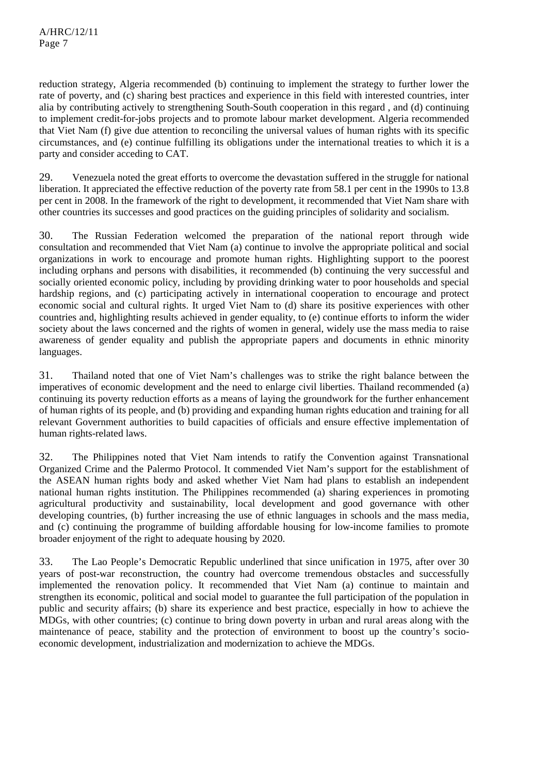reduction strategy, Algeria recommended (b) continuing to implement the strategy to further lower the rate of poverty, and (c) sharing best practices and experience in this field with interested countries, inter alia by contributing actively to strengthening South-South cooperation in this regard , and (d) continuing to implement credit-for-jobs projects and to promote labour market development. Algeria recommended that Viet Nam (f) give due attention to reconciling the universal values of human rights with its specific circumstances, and (e) continue fulfilling its obligations under the international treaties to which it is a party and consider acceding to CAT.

29. Venezuela noted the great efforts to overcome the devastation suffered in the struggle for national liberation. It appreciated the effective reduction of the poverty rate from 58.1 per cent in the 1990s to 13.8 per cent in 2008. In the framework of the right to development, it recommended that Viet Nam share with other countries its successes and good practices on the guiding principles of solidarity and socialism.

30. The Russian Federation welcomed the preparation of the national report through wide consultation and recommended that Viet Nam (a) continue to involve the appropriate political and social organizations in work to encourage and promote human rights. Highlighting support to the poorest including orphans and persons with disabilities, it recommended (b) continuing the very successful and socially oriented economic policy, including by providing drinking water to poor households and special hardship regions, and (c) participating actively in international cooperation to encourage and protect economic social and cultural rights. It urged Viet Nam to (d) share its positive experiences with other countries and, highlighting results achieved in gender equality, to (e) continue efforts to inform the wider society about the laws concerned and the rights of women in general, widely use the mass media to raise awareness of gender equality and publish the appropriate papers and documents in ethnic minority languages.

31. Thailand noted that one of Viet Nam's challenges was to strike the right balance between the imperatives of economic development and the need to enlarge civil liberties. Thailand recommended (a) continuing its poverty reduction efforts as a means of laying the groundwork for the further enhancement of human rights of its people, and (b) providing and expanding human rights education and training for all relevant Government authorities to build capacities of officials and ensure effective implementation of human rights-related laws.

32. The Philippines noted that Viet Nam intends to ratify the Convention against Transnational Organized Crime and the Palermo Protocol. It commended Viet Nam's support for the establishment of the ASEAN human rights body and asked whether Viet Nam had plans to establish an independent national human rights institution. The Philippines recommended (a) sharing experiences in promoting agricultural productivity and sustainability, local development and good governance with other developing countries, (b) further increasing the use of ethnic languages in schools and the mass media, and (c) continuing the programme of building affordable housing for low-income families to promote broader enjoyment of the right to adequate housing by 2020.

33. The Lao People's Democratic Republic underlined that since unification in 1975, after over 30 years of post-war reconstruction, the country had overcome tremendous obstacles and successfully implemented the renovation policy. It recommended that Viet Nam (a) continue to maintain and strengthen its economic, political and social model to guarantee the full participation of the population in public and security affairs; (b) share its experience and best practice, especially in how to achieve the MDGs, with other countries; (c) continue to bring down poverty in urban and rural areas along with the maintenance of peace, stability and the protection of environment to boost up the country's socioeconomic development, industrialization and modernization to achieve the MDGs.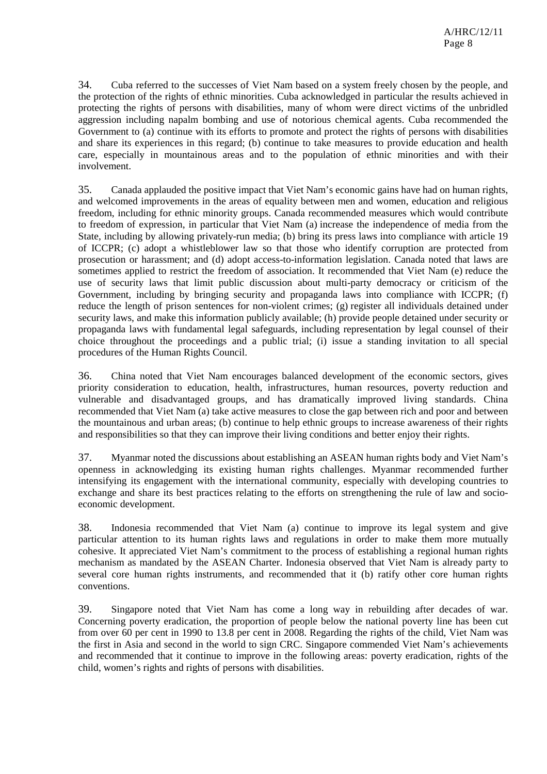34. Cuba referred to the successes of Viet Nam based on a system freely chosen by the people, and the protection of the rights of ethnic minorities. Cuba acknowledged in particular the results achieved in protecting the rights of persons with disabilities, many of whom were direct victims of the unbridled aggression including napalm bombing and use of notorious chemical agents. Cuba recommended the Government to (a) continue with its efforts to promote and protect the rights of persons with disabilities and share its experiences in this regard; (b) continue to take measures to provide education and health care, especially in mountainous areas and to the population of ethnic minorities and with their involvement.

35. Canada applauded the positive impact that Viet Nam's economic gains have had on human rights, and welcomed improvements in the areas of equality between men and women, education and religious freedom, including for ethnic minority groups. Canada recommended measures which would contribute to freedom of expression, in particular that Viet Nam (a) increase the independence of media from the State, including by allowing privately-run media; (b) bring its press laws into compliance with article 19 of ICCPR; (c) adopt a whistleblower law so that those who identify corruption are protected from prosecution or harassment; and (d) adopt access-to-information legislation. Canada noted that laws are sometimes applied to restrict the freedom of association. It recommended that Viet Nam (e) reduce the use of security laws that limit public discussion about multi-party democracy or criticism of the Government, including by bringing security and propaganda laws into compliance with ICCPR; (f) reduce the length of prison sentences for non-violent crimes; (g) register all individuals detained under security laws, and make this information publicly available; (h) provide people detained under security or propaganda laws with fundamental legal safeguards, including representation by legal counsel of their choice throughout the proceedings and a public trial; (i) issue a standing invitation to all special procedures of the Human Rights Council.

36. China noted that Viet Nam encourages balanced development of the economic sectors, gives priority consideration to education, health, infrastructures, human resources, poverty reduction and vulnerable and disadvantaged groups, and has dramatically improved living standards. China recommended that Viet Nam (a) take active measures to close the gap between rich and poor and between the mountainous and urban areas; (b) continue to help ethnic groups to increase awareness of their rights and responsibilities so that they can improve their living conditions and better enjoy their rights.

37. Myanmar noted the discussions about establishing an ASEAN human rights body and Viet Nam's openness in acknowledging its existing human rights challenges. Myanmar recommended further intensifying its engagement with the international community, especially with developing countries to exchange and share its best practices relating to the efforts on strengthening the rule of law and socioeconomic development.

38. Indonesia recommended that Viet Nam (a) continue to improve its legal system and give particular attention to its human rights laws and regulations in order to make them more mutually cohesive. It appreciated Viet Nam's commitment to the process of establishing a regional human rights mechanism as mandated by the ASEAN Charter. Indonesia observed that Viet Nam is already party to several core human rights instruments, and recommended that it (b) ratify other core human rights conventions.

39. Singapore noted that Viet Nam has come a long way in rebuilding after decades of war. Concerning poverty eradication, the proportion of people below the national poverty line has been cut from over 60 per cent in 1990 to 13.8 per cent in 2008. Regarding the rights of the child, Viet Nam was the first in Asia and second in the world to sign CRC. Singapore commended Viet Nam's achievements and recommended that it continue to improve in the following areas: poverty eradication, rights of the child, women's rights and rights of persons with disabilities.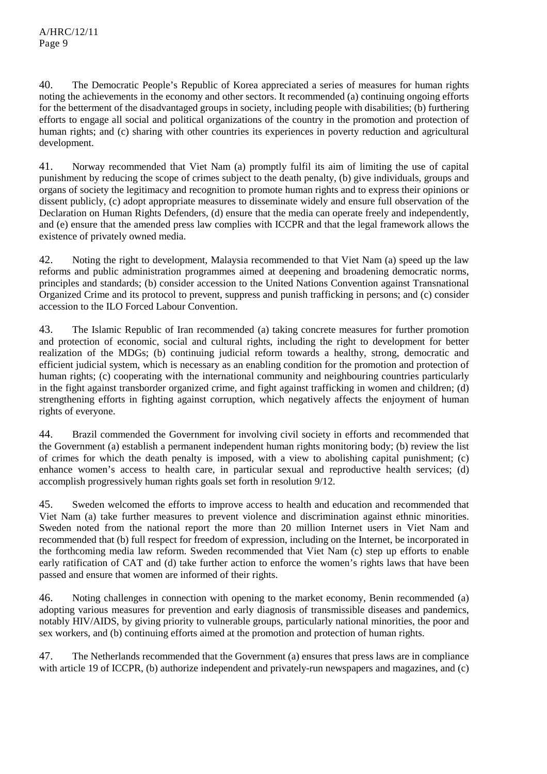40. The Democratic People's Republic of Korea appreciated a series of measures for human rights noting the achievements in the economy and other sectors. It recommended (a) continuing ongoing efforts for the betterment of the disadvantaged groups in society, including people with disabilities; (b) furthering efforts to engage all social and political organizations of the country in the promotion and protection of human rights; and (c) sharing with other countries its experiences in poverty reduction and agricultural development.

41. Norway recommended that Viet Nam (a) promptly fulfil its aim of limiting the use of capital punishment by reducing the scope of crimes subject to the death penalty, (b) give individuals, groups and organs of society the legitimacy and recognition to promote human rights and to express their opinions or dissent publicly, (c) adopt appropriate measures to disseminate widely and ensure full observation of the Declaration on Human Rights Defenders, (d) ensure that the media can operate freely and independently, and (e) ensure that the amended press law complies with ICCPR and that the legal framework allows the existence of privately owned media.

42. Noting the right to development, Malaysia recommended to that Viet Nam (a) speed up the law reforms and public administration programmes aimed at deepening and broadening democratic norms, principles and standards; (b) consider accession to the United Nations Convention against Transnational Organized Crime and its protocol to prevent, suppress and punish trafficking in persons; and (c) consider accession to the ILO Forced Labour Convention.

43. The Islamic Republic of Iran recommended (a) taking concrete measures for further promotion and protection of economic, social and cultural rights, including the right to development for better realization of the MDGs; (b) continuing judicial reform towards a healthy, strong, democratic and efficient judicial system, which is necessary as an enabling condition for the promotion and protection of human rights; (c) cooperating with the international community and neighbouring countries particularly in the fight against transborder organized crime, and fight against trafficking in women and children; (d) strengthening efforts in fighting against corruption, which negatively affects the enjoyment of human rights of everyone.

44. Brazil commended the Government for involving civil society in efforts and recommended that the Government (a) establish a permanent independent human rights monitoring body; (b) review the list of crimes for which the death penalty is imposed, with a view to abolishing capital punishment; (c) enhance women's access to health care, in particular sexual and reproductive health services; (d) accomplish progressively human rights goals set forth in resolution 9/12.

45. Sweden welcomed the efforts to improve access to health and education and recommended that Viet Nam (a) take further measures to prevent violence and discrimination against ethnic minorities. Sweden noted from the national report the more than 20 million Internet users in Viet Nam and recommended that (b) full respect for freedom of expression, including on the Internet, be incorporated in the forthcoming media law reform. Sweden recommended that Viet Nam (c) step up efforts to enable early ratification of CAT and (d) take further action to enforce the women's rights laws that have been passed and ensure that women are informed of their rights.

46. Noting challenges in connection with opening to the market economy, Benin recommended (a) adopting various measures for prevention and early diagnosis of transmissible diseases and pandemics, notably HIV/AIDS, by giving priority to vulnerable groups, particularly national minorities, the poor and sex workers, and (b) continuing efforts aimed at the promotion and protection of human rights.

47. The Netherlands recommended that the Government (a) ensures that press laws are in compliance with article 19 of ICCPR, (b) authorize independent and privately-run newspapers and magazines, and (c)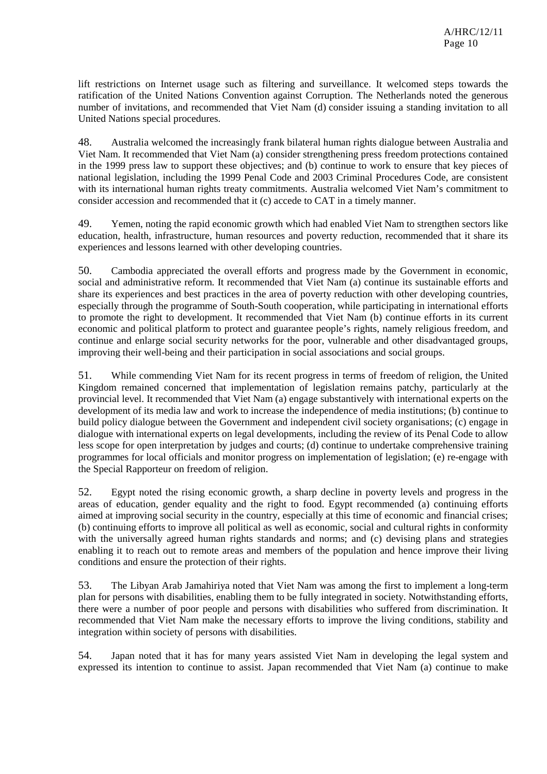lift restrictions on Internet usage such as filtering and surveillance. It welcomed steps towards the ratification of the United Nations Convention against Corruption. The Netherlands noted the generous number of invitations, and recommended that Viet Nam (d) consider issuing a standing invitation to all United Nations special procedures.

48. Australia welcomed the increasingly frank bilateral human rights dialogue between Australia and Viet Nam. It recommended that Viet Nam (a) consider strengthening press freedom protections contained in the 1999 press law to support these objectives; and (b) continue to work to ensure that key pieces of national legislation, including the 1999 Penal Code and 2003 Criminal Procedures Code, are consistent with its international human rights treaty commitments. Australia welcomed Viet Nam's commitment to consider accession and recommended that it (c) accede to CAT in a timely manner.

49. Yemen, noting the rapid economic growth which had enabled Viet Nam to strengthen sectors like education, health, infrastructure, human resources and poverty reduction, recommended that it share its experiences and lessons learned with other developing countries.

50. Cambodia appreciated the overall efforts and progress made by the Government in economic, social and administrative reform. It recommended that Viet Nam (a) continue its sustainable efforts and share its experiences and best practices in the area of poverty reduction with other developing countries, especially through the programme of South-South cooperation, while participating in international efforts to promote the right to development. It recommended that Viet Nam (b) continue efforts in its current economic and political platform to protect and guarantee people's rights, namely religious freedom, and continue and enlarge social security networks for the poor, vulnerable and other disadvantaged groups, improving their well-being and their participation in social associations and social groups.

51. While commending Viet Nam for its recent progress in terms of freedom of religion, the United Kingdom remained concerned that implementation of legislation remains patchy, particularly at the provincial level. It recommended that Viet Nam (a) engage substantively with international experts on the development of its media law and work to increase the independence of media institutions; (b) continue to build policy dialogue between the Government and independent civil society organisations; (c) engage in dialogue with international experts on legal developments, including the review of its Penal Code to allow less scope for open interpretation by judges and courts; (d) continue to undertake comprehensive training programmes for local officials and monitor progress on implementation of legislation; (e) re-engage with the Special Rapporteur on freedom of religion.

52. Egypt noted the rising economic growth, a sharp decline in poverty levels and progress in the areas of education, gender equality and the right to food. Egypt recommended (a) continuing efforts aimed at improving social security in the country, especially at this time of economic and financial crises; (b) continuing efforts to improve all political as well as economic, social and cultural rights in conformity with the universally agreed human rights standards and norms; and (c) devising plans and strategies enabling it to reach out to remote areas and members of the population and hence improve their living conditions and ensure the protection of their rights.

53. The Libyan Arab Jamahiriya noted that Viet Nam was among the first to implement a long-term plan for persons with disabilities, enabling them to be fully integrated in society. Notwithstanding efforts, there were a number of poor people and persons with disabilities who suffered from discrimination. It recommended that Viet Nam make the necessary efforts to improve the living conditions, stability and integration within society of persons with disabilities.

54. Japan noted that it has for many years assisted Viet Nam in developing the legal system and expressed its intention to continue to assist. Japan recommended that Viet Nam (a) continue to make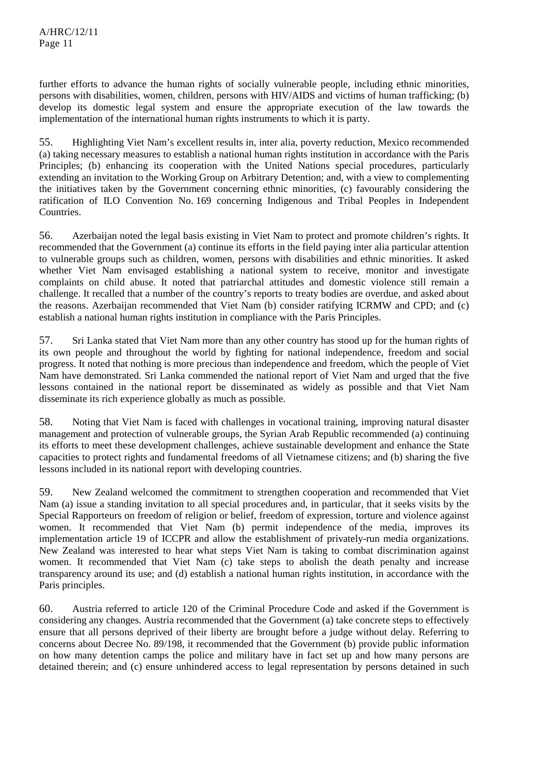further efforts to advance the human rights of socially vulnerable people, including ethnic minorities, persons with disabilities, women, children, persons with HIV/AIDS and victims of human trafficking; (b) develop its domestic legal system and ensure the appropriate execution of the law towards the implementation of the international human rights instruments to which it is party.

55. Highlighting Viet Nam's excellent results in, inter alia, poverty reduction, Mexico recommended (a) taking necessary measures to establish a national human rights institution in accordance with the Paris Principles; (b) enhancing its cooperation with the United Nations special procedures, particularly extending an invitation to the Working Group on Arbitrary Detention; and, with a view to complementing the initiatives taken by the Government concerning ethnic minorities, (c) favourably considering the ratification of ILO Convention No. 169 concerning Indigenous and Tribal Peoples in Independent Countries.

56. Azerbaijan noted the legal basis existing in Viet Nam to protect and promote children's rights. It recommended that the Government (a) continue its efforts in the field paying inter alia particular attention to vulnerable groups such as children, women, persons with disabilities and ethnic minorities. It asked whether Viet Nam envisaged establishing a national system to receive, monitor and investigate complaints on child abuse. It noted that patriarchal attitudes and domestic violence still remain a challenge. It recalled that a number of the country's reports to treaty bodies are overdue, and asked about the reasons. Azerbaijan recommended that Viet Nam (b) consider ratifying ICRMW and CPD; and (c) establish a national human rights institution in compliance with the Paris Principles.

57. Sri Lanka stated that Viet Nam more than any other country has stood up for the human rights of its own people and throughout the world by fighting for national independence, freedom and social progress. It noted that nothing is more precious than independence and freedom, which the people of Viet Nam have demonstrated. Sri Lanka commended the national report of Viet Nam and urged that the five lessons contained in the national report be disseminated as widely as possible and that Viet Nam disseminate its rich experience globally as much as possible.

58. Noting that Viet Nam is faced with challenges in vocational training, improving natural disaster management and protection of vulnerable groups, the Syrian Arab Republic recommended (a) continuing its efforts to meet these development challenges, achieve sustainable development and enhance the State capacities to protect rights and fundamental freedoms of all Vietnamese citizens; and (b) sharing the five lessons included in its national report with developing countries.

59. New Zealand welcomed the commitment to strengthen cooperation and recommended that Viet Nam (a) issue a standing invitation to all special procedures and, in particular, that it seeks visits by the Special Rapporteurs on freedom of religion or belief, freedom of expression, torture and violence against women. It recommended that Viet Nam (b) permit independence of the media, improves its implementation article 19 of ICCPR and allow the establishment of privately-run media organizations. New Zealand was interested to hear what steps Viet Nam is taking to combat discrimination against women. It recommended that Viet Nam (c) take steps to abolish the death penalty and increase transparency around its use; and (d) establish a national human rights institution, in accordance with the Paris principles.

60. Austria referred to article 120 of the Criminal Procedure Code and asked if the Government is considering any changes. Austria recommended that the Government (a) take concrete steps to effectively ensure that all persons deprived of their liberty are brought before a judge without delay. Referring to concerns about Decree No. 89/198, it recommended that the Government (b) provide public information on how many detention camps the police and military have in fact set up and how many persons are detained therein; and (c) ensure unhindered access to legal representation by persons detained in such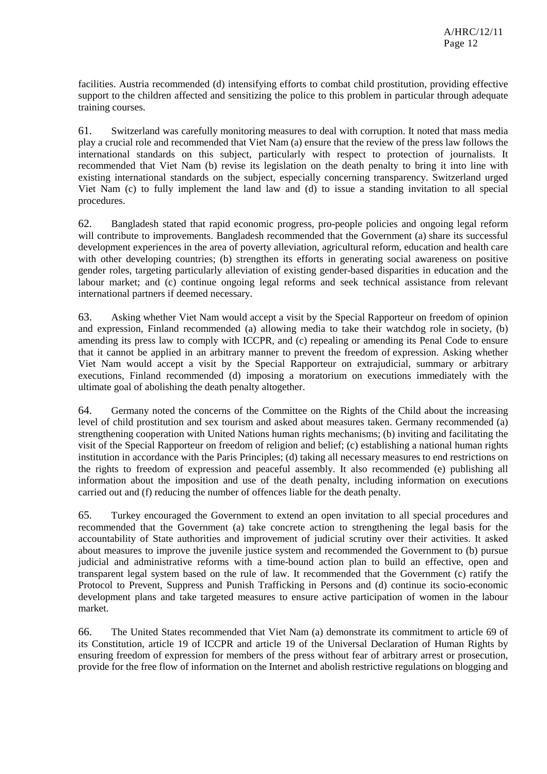facilities. Austria recommended (d) intensifying efforts to combat child prostitution, providing effective support to the children affected and sensitizing the police to this problem in particular through adequate training courses.

61. Switzerland was carefully monitoring measures to deal with corruption. It noted that mass media play a crucial role and recommended that Viet Nam (a) ensure that the review of the press law follows the international standards on this subject, particularly with respect to protection of journalists. It recommended that Viet Nam (b) revise its legislation on the death penalty to bring it into line with existing international standards on the subject, especially concerning transparency. Switzerland urged Viet Nam (c) to fully implement the land law and (d) to issue a standing invitation to all special procedures.

62. Bangladesh stated that rapid economic progress, pro-people policies and ongoing legal reform will contribute to improvements. Bangladesh recommended that the Government (a) share its successful development experiences in the area of poverty alleviation, agricultural reform, education and health care with other developing countries; (b) strengthen its efforts in generating social awareness on positive gender roles, targeting particularly alleviation of existing gender-based disparities in education and the labour market; and (c) continue ongoing legal reforms and seek technical assistance from relevant international partners if deemed necessary.

63. Asking whether Viet Nam would accept a visit by the Special Rapporteur on freedom of opinion and expression, Finland recommended (a) allowing media to take their watchdog role in society, (b) amending its press law to comply with ICCPR, and (c) repealing or amending its Penal Code to ensure that it cannot be applied in an arbitrary manner to prevent the freedom of expression. Asking whether Viet Nam would accept a visit by the Special Rapporteur on extrajudicial, summary or arbitrary executions, Finland recommended (d) imposing a moratorium on executions immediately with the ultimate goal of abolishing the death penalty altogether.

64. Germany noted the concerns of the Committee on the Rights of the Child about the increasing level of child prostitution and sex tourism and asked about measures taken. Germany recommended (a) strengthening cooperation with United Nations human rights mechanisms; (b) inviting and facilitating the visit of the Special Rapporteur on freedom of religion and belief; (c) establishing a national human rights institution in accordance with the Paris Principles; (d) taking all necessary measures to end restrictions on the rights to freedom of expression and peaceful assembly. It also recommended (e) publishing all information about the imposition and use of the death penalty, including information on executions carried out and (f) reducing the number of offences liable for the death penalty.

65. Turkey encouraged the Government to extend an open invitation to all special procedures and recommended that the Government (a) take concrete action to strengthening the legal basis for the accountability of State authorities and improvement of judicial scrutiny over their activities. It asked about measures to improve the juvenile justice system and recommended the Government to (b) pursue judicial and administrative reforms with a time-bound action plan to build an effective, open and transparent legal system based on the rule of law. It recommended that the Government (c) ratify the Protocol to Prevent, Suppress and Punish Trafficking in Persons and (d) continue its socio-economic development plans and take targeted measures to ensure active participation of women in the labour market.

66. The United States recommended that Viet Nam (a) demonstrate its commitment to article 69 of its Constitution, article 19 of ICCPR and article 19 of the Universal Declaration of Human Rights by ensuring freedom of expression for members of the press without fear of arbitrary arrest or prosecution, provide for the free flow of information on the Internet and abolish restrictive regulations on blogging and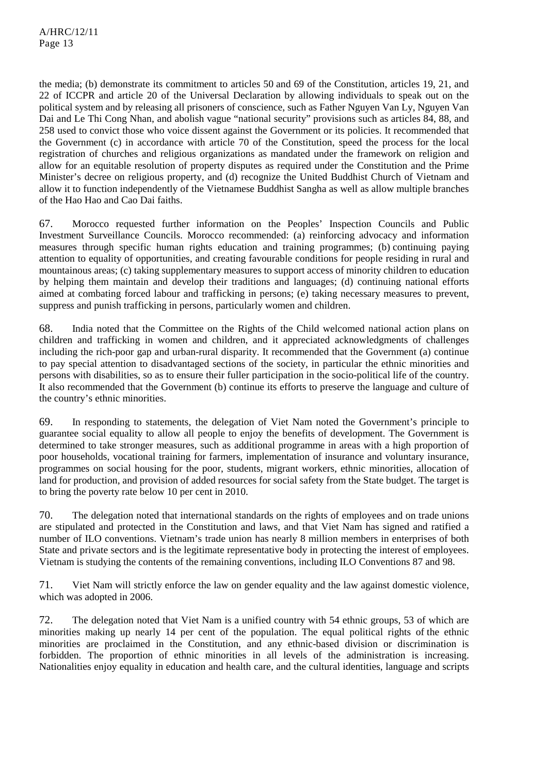the media; (b) demonstrate its commitment to articles 50 and 69 of the Constitution, articles 19, 21, and 22 of ICCPR and article 20 of the Universal Declaration by allowing individuals to speak out on the political system and by releasing all prisoners of conscience, such as Father Nguyen Van Ly, Nguyen Van Dai and Le Thi Cong Nhan, and abolish vague "national security" provisions such as articles 84, 88, and 258 used to convict those who voice dissent against the Government or its policies. It recommended that the Government (c) in accordance with article 70 of the Constitution, speed the process for the local registration of churches and religious organizations as mandated under the framework on religion and allow for an equitable resolution of property disputes as required under the Constitution and the Prime Minister's decree on religious property, and (d) recognize the United Buddhist Church of Vietnam and allow it to function independently of the Vietnamese Buddhist Sangha as well as allow multiple branches of the Hao Hao and Cao Dai faiths.

67. Morocco requested further information on the Peoples' Inspection Councils and Public Investment Surveillance Councils. Morocco recommended: (a) reinforcing advocacy and information measures through specific human rights education and training programmes; (b) continuing paying attention to equality of opportunities, and creating favourable conditions for people residing in rural and mountainous areas; (c) taking supplementary measures to support access of minority children to education by helping them maintain and develop their traditions and languages; (d) continuing national efforts aimed at combating forced labour and trafficking in persons; (e) taking necessary measures to prevent, suppress and punish trafficking in persons, particularly women and children.

68. India noted that the Committee on the Rights of the Child welcomed national action plans on children and trafficking in women and children, and it appreciated acknowledgments of challenges including the rich-poor gap and urban-rural disparity. It recommended that the Government (a) continue to pay special attention to disadvantaged sections of the society, in particular the ethnic minorities and persons with disabilities, so as to ensure their fuller participation in the socio-political life of the country. It also recommended that the Government (b) continue its efforts to preserve the language and culture of the country's ethnic minorities.

69. In responding to statements, the delegation of Viet Nam noted the Government's principle to guarantee social equality to allow all people to enjoy the benefits of development. The Government is determined to take stronger measures, such as additional programme in areas with a high proportion of poor households, vocational training for farmers, implementation of insurance and voluntary insurance, programmes on social housing for the poor, students, migrant workers, ethnic minorities, allocation of land for production, and provision of added resources for social safety from the State budget. The target is to bring the poverty rate below 10 per cent in 2010.

70. The delegation noted that international standards on the rights of employees and on trade unions are stipulated and protected in the Constitution and laws, and that Viet Nam has signed and ratified a number of ILO conventions. Vietnam's trade union has nearly 8 million members in enterprises of both State and private sectors and is the legitimate representative body in protecting the interest of employees. Vietnam is studying the contents of the remaining conventions, including ILO Conventions 87 and 98.

71. Viet Nam will strictly enforce the law on gender equality and the law against domestic violence, which was adopted in 2006.

72. The delegation noted that Viet Nam is a unified country with 54 ethnic groups, 53 of which are minorities making up nearly 14 per cent of the population. The equal political rights of the ethnic minorities are proclaimed in the Constitution, and any ethnic-based division or discrimination is forbidden. The proportion of ethnic minorities in all levels of the administration is increasing. Nationalities enjoy equality in education and health care, and the cultural identities, language and scripts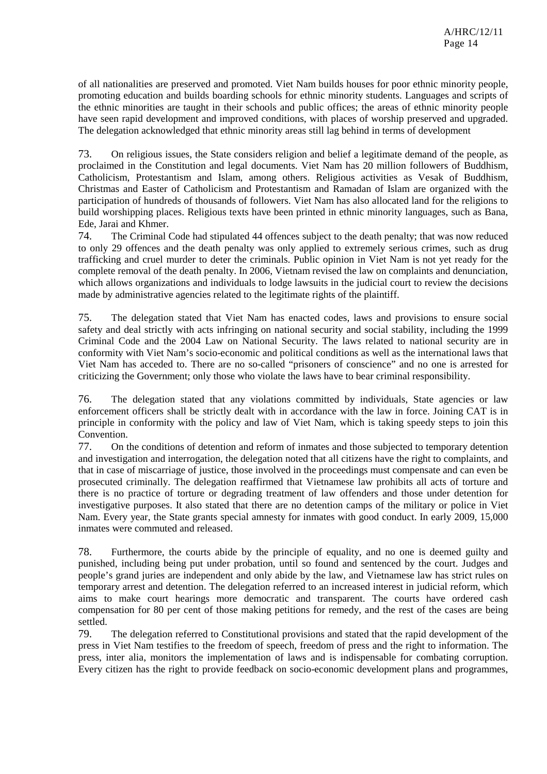of all nationalities are preserved and promoted. Viet Nam builds houses for poor ethnic minority people, promoting education and builds boarding schools for ethnic minority students. Languages and scripts of the ethnic minorities are taught in their schools and public offices; the areas of ethnic minority people have seen rapid development and improved conditions, with places of worship preserved and upgraded. The delegation acknowledged that ethnic minority areas still lag behind in terms of development

73. On religious issues, the State considers religion and belief a legitimate demand of the people, as proclaimed in the Constitution and legal documents. Viet Nam has 20 million followers of Buddhism, Catholicism, Protestantism and Islam, among others. Religious activities as Vesak of Buddhism, Christmas and Easter of Catholicism and Protestantism and Ramadan of Islam are organized with the participation of hundreds of thousands of followers. Viet Nam has also allocated land for the religions to build worshipping places. Religious texts have been printed in ethnic minority languages, such as Bana, Ede, Jarai and Khmer.

74. The Criminal Code had stipulated 44 offences subject to the death penalty; that was now reduced to only 29 offences and the death penalty was only applied to extremely serious crimes, such as drug trafficking and cruel murder to deter the criminals. Public opinion in Viet Nam is not yet ready for the complete removal of the death penalty. In 2006, Vietnam revised the law on complaints and denunciation, which allows organizations and individuals to lodge lawsuits in the judicial court to review the decisions made by administrative agencies related to the legitimate rights of the plaintiff.

75. The delegation stated that Viet Nam has enacted codes, laws and provisions to ensure social safety and deal strictly with acts infringing on national security and social stability, including the 1999 Criminal Code and the 2004 Law on National Security. The laws related to national security are in conformity with Viet Nam's socio-economic and political conditions as well as the international laws that Viet Nam has acceded to. There are no so-called "prisoners of conscience" and no one is arrested for criticizing the Government; only those who violate the laws have to bear criminal responsibility.

76. The delegation stated that any violations committed by individuals, State agencies or law enforcement officers shall be strictly dealt with in accordance with the law in force. Joining CAT is in principle in conformity with the policy and law of Viet Nam, which is taking speedy steps to join this Convention.

77. On the conditions of detention and reform of inmates and those subjected to temporary detention and investigation and interrogation, the delegation noted that all citizens have the right to complaints, and that in case of miscarriage of justice, those involved in the proceedings must compensate and can even be prosecuted criminally. The delegation reaffirmed that Vietnamese law prohibits all acts of torture and there is no practice of torture or degrading treatment of law offenders and those under detention for investigative purposes. It also stated that there are no detention camps of the military or police in Viet Nam. Every year, the State grants special amnesty for inmates with good conduct. In early 2009, 15,000 inmates were commuted and released.

78. Furthermore, the courts abide by the principle of equality, and no one is deemed guilty and punished, including being put under probation, until so found and sentenced by the court. Judges and people's grand juries are independent and only abide by the law, and Vietnamese law has strict rules on temporary arrest and detention. The delegation referred to an increased interest in judicial reform, which aims to make court hearings more democratic and transparent. The courts have ordered cash compensation for 80 per cent of those making petitions for remedy, and the rest of the cases are being settled.

79. The delegation referred to Constitutional provisions and stated that the rapid development of the press in Viet Nam testifies to the freedom of speech, freedom of press and the right to information. The press, inter alia, monitors the implementation of laws and is indispensable for combating corruption. Every citizen has the right to provide feedback on socio-economic development plans and programmes,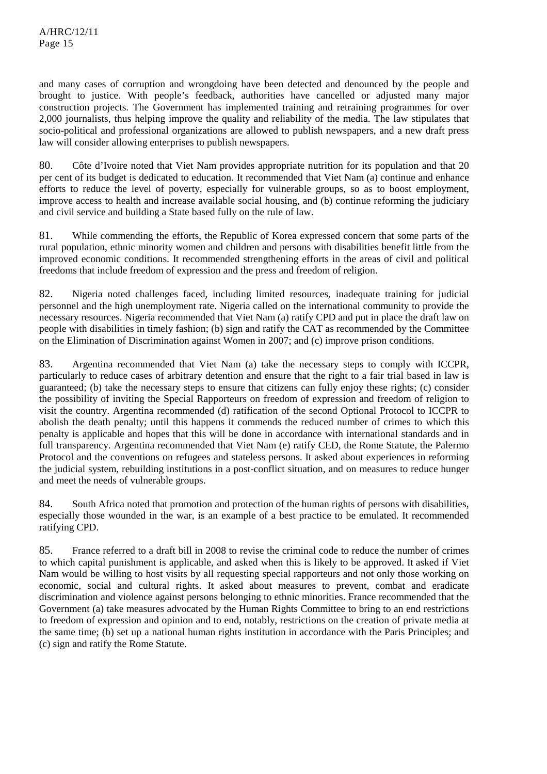and many cases of corruption and wrongdoing have been detected and denounced by the people and brought to justice. With people's feedback, authorities have cancelled or adjusted many major construction projects. The Government has implemented training and retraining programmes for over 2,000 journalists, thus helping improve the quality and reliability of the media. The law stipulates that socio-political and professional organizations are allowed to publish newspapers, and a new draft press law will consider allowing enterprises to publish newspapers.

80. Côte d'Ivoire noted that Viet Nam provides appropriate nutrition for its population and that 20 per cent of its budget is dedicated to education. It recommended that Viet Nam (a) continue and enhance efforts to reduce the level of poverty, especially for vulnerable groups, so as to boost employment, improve access to health and increase available social housing, and (b) continue reforming the judiciary and civil service and building a State based fully on the rule of law.

81. While commending the efforts, the Republic of Korea expressed concern that some parts of the rural population, ethnic minority women and children and persons with disabilities benefit little from the improved economic conditions. It recommended strengthening efforts in the areas of civil and political freedoms that include freedom of expression and the press and freedom of religion.

82. Nigeria noted challenges faced, including limited resources, inadequate training for judicial personnel and the high unemployment rate. Nigeria called on the international community to provide the necessary resources. Nigeria recommended that Viet Nam (a) ratify CPD and put in place the draft law on people with disabilities in timely fashion; (b) sign and ratify the CAT as recommended by the Committee on the Elimination of Discrimination against Women in 2007; and (c) improve prison conditions.

83. Argentina recommended that Viet Nam (a) take the necessary steps to comply with ICCPR, particularly to reduce cases of arbitrary detention and ensure that the right to a fair trial based in law is guaranteed; (b) take the necessary steps to ensure that citizens can fully enjoy these rights; (c) consider the possibility of inviting the Special Rapporteurs on freedom of expression and freedom of religion to visit the country. Argentina recommended (d) ratification of the second Optional Protocol to ICCPR to abolish the death penalty; until this happens it commends the reduced number of crimes to which this penalty is applicable and hopes that this will be done in accordance with international standards and in full transparency. Argentina recommended that Viet Nam (e) ratify CED, the Rome Statute, the Palermo Protocol and the conventions on refugees and stateless persons. It asked about experiences in reforming the judicial system, rebuilding institutions in a post-conflict situation, and on measures to reduce hunger and meet the needs of vulnerable groups.

84. South Africa noted that promotion and protection of the human rights of persons with disabilities, especially those wounded in the war, is an example of a best practice to be emulated. It recommended ratifying CPD.

85. France referred to a draft bill in 2008 to revise the criminal code to reduce the number of crimes to which capital punishment is applicable, and asked when this is likely to be approved. It asked if Viet Nam would be willing to host visits by all requesting special rapporteurs and not only those working on economic, social and cultural rights. It asked about measures to prevent, combat and eradicate discrimination and violence against persons belonging to ethnic minorities. France recommended that the Government (a) take measures advocated by the Human Rights Committee to bring to an end restrictions to freedom of expression and opinion and to end, notably, restrictions on the creation of private media at the same time; (b) set up a national human rights institution in accordance with the Paris Principles; and (c) sign and ratify the Rome Statute.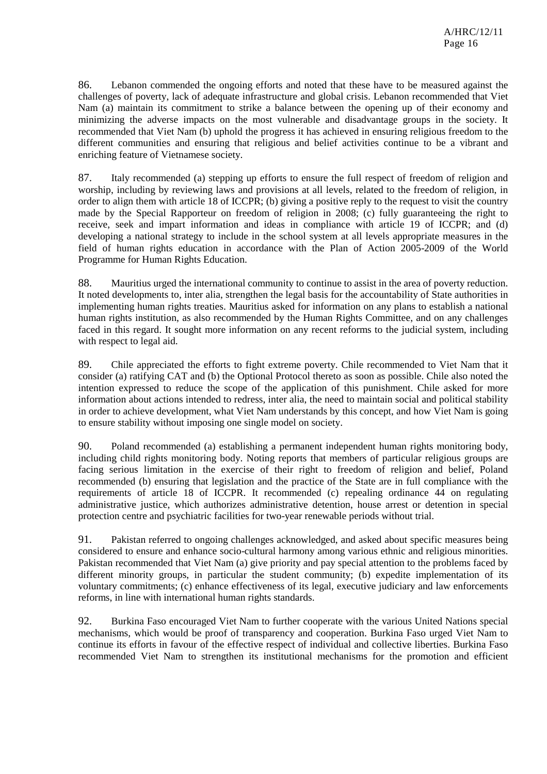86. Lebanon commended the ongoing efforts and noted that these have to be measured against the challenges of poverty, lack of adequate infrastructure and global crisis. Lebanon recommended that Viet Nam (a) maintain its commitment to strike a balance between the opening up of their economy and minimizing the adverse impacts on the most vulnerable and disadvantage groups in the society. It recommended that Viet Nam (b) uphold the progress it has achieved in ensuring religious freedom to the different communities and ensuring that religious and belief activities continue to be a vibrant and enriching feature of Vietnamese society.

87. Italy recommended (a) stepping up efforts to ensure the full respect of freedom of religion and worship, including by reviewing laws and provisions at all levels, related to the freedom of religion, in order to align them with article 18 of ICCPR; (b) giving a positive reply to the request to visit the country made by the Special Rapporteur on freedom of religion in 2008; (c) fully guaranteeing the right to receive, seek and impart information and ideas in compliance with article 19 of ICCPR; and (d) developing a national strategy to include in the school system at all levels appropriate measures in the field of human rights education in accordance with the Plan of Action 2005-2009 of the World Programme for Human Rights Education.

88. Mauritius urged the international community to continue to assist in the area of poverty reduction. It noted developments to, inter alia, strengthen the legal basis for the accountability of State authorities in implementing human rights treaties. Mauritius asked for information on any plans to establish a national human rights institution, as also recommended by the Human Rights Committee, and on any challenges faced in this regard. It sought more information on any recent reforms to the judicial system, including with respect to legal aid.

89. Chile appreciated the efforts to fight extreme poverty. Chile recommended to Viet Nam that it consider (a) ratifying CAT and (b) the Optional Protocol thereto as soon as possible. Chile also noted the intention expressed to reduce the scope of the application of this punishment. Chile asked for more information about actions intended to redress, inter alia, the need to maintain social and political stability in order to achieve development, what Viet Nam understands by this concept, and how Viet Nam is going to ensure stability without imposing one single model on society.

90. Poland recommended (a) establishing a permanent independent human rights monitoring body, including child rights monitoring body. Noting reports that members of particular religious groups are facing serious limitation in the exercise of their right to freedom of religion and belief, Poland recommended (b) ensuring that legislation and the practice of the State are in full compliance with the requirements of article 18 of ICCPR. It recommended (c) repealing ordinance 44 on regulating administrative justice, which authorizes administrative detention, house arrest or detention in special protection centre and psychiatric facilities for two-year renewable periods without trial.

91. Pakistan referred to ongoing challenges acknowledged, and asked about specific measures being considered to ensure and enhance socio-cultural harmony among various ethnic and religious minorities. Pakistan recommended that Viet Nam (a) give priority and pay special attention to the problems faced by different minority groups, in particular the student community; (b) expedite implementation of its voluntary commitments; (c) enhance effectiveness of its legal, executive judiciary and law enforcements reforms, in line with international human rights standards.

92. Burkina Faso encouraged Viet Nam to further cooperate with the various United Nations special mechanisms, which would be proof of transparency and cooperation. Burkina Faso urged Viet Nam to continue its efforts in favour of the effective respect of individual and collective liberties. Burkina Faso recommended Viet Nam to strengthen its institutional mechanisms for the promotion and efficient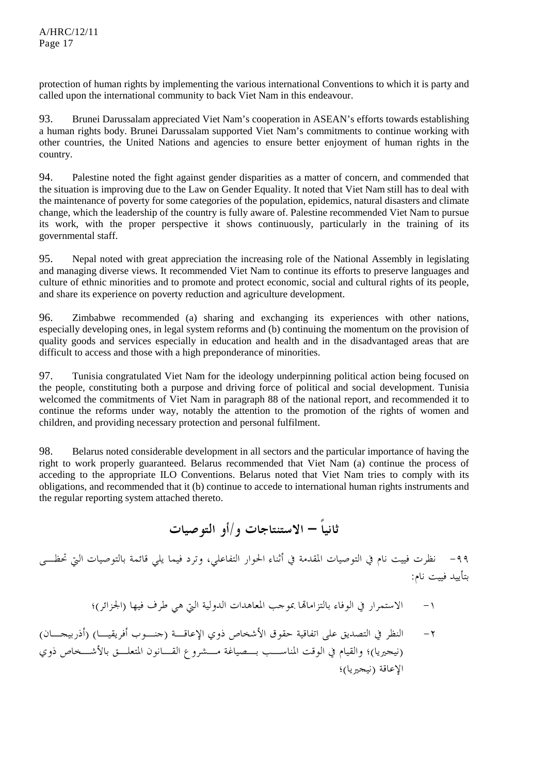protection of human rights by implementing the various international Conventions to which it is party and called upon the international community to back Viet Nam in this endeavour.

93. Brunei Darussalam appreciated Viet Nam's cooperation in ASEAN's efforts towards establishing a human rights body. Brunei Darussalam supported Viet Nam's commitments to continue working with other countries, the United Nations and agencies to ensure better enjoyment of human rights in the country.

94. Palestine noted the fight against gender disparities as a matter of concern, and commended that the situation is improving due to the Law on Gender Equality. It noted that Viet Nam still has to deal with the maintenance of poverty for some categories of the population, epidemics, natural disasters and climate change, which the leadership of the country is fully aware of. Palestine recommended Viet Nam to pursue its work, with the proper perspective it shows continuously, particularly in the training of its governmental staff.

95. Nepal noted with great appreciation the increasing role of the National Assembly in legislating and managing diverse views. It recommended Viet Nam to continue its efforts to preserve languages and culture of ethnic minorities and to promote and protect economic, social and cultural rights of its people, and share its experience on poverty reduction and agriculture development.

96. Zimbabwe recommended (a) sharing and exchanging its experiences with other nations, especially developing ones, in legal system reforms and (b) continuing the momentum on the provision of quality goods and services especially in education and health and in the disadvantaged areas that are difficult to access and those with a high preponderance of minorities.

97. Tunisia congratulated Viet Nam for the ideology underpinning political action being focused on the people, constituting both a purpose and driving force of political and social development. Tunisia welcomed the commitments of Viet Nam in paragraph 88 of the national report, and recommended it to continue the reforms under way, notably the attention to the promotion of the rights of women and children, and providing necessary protection and personal fulfilment.

98. Belarus noted considerable development in all sectors and the particular importance of having the right to work properly guaranteed. Belarus recommended that Viet Nam (a) continue the process of acceding to the appropriate ILO Conventions. Belarus noted that Viet Nam tries to comply with its obligations, and recommended that it (b) continue to accede to international human rights instruments and the regular reporting system attached thereto.

**ثانياً – الاستنتاجات و/أو التوصيات** 

-٩٩ نظرت فييت نام في التوصيات المقدمة في أثناء الحوار التفاعلي، وترد فيما يلي قائمة بالتوصيات التي تحظـى بتأييد فييت نام:

-١ الاستمرار في الوفاء بالتزاماهتا بموجب المعاهدات الدولية التي هي طرف فيها (الجزائر)؛

-٢ النظر في التصديق على اتفاقية حقوق الأشخاص ذوي الإعاقـة (جنـوب أفريقيـا) (أذربيجـان) (نيجيريا)؛ والقيام في الوقت المناسـب بـصياغة مـشروع القـانون المتعلـق بالأشـخاص ذوي الإعاقة (نيجيريا)؛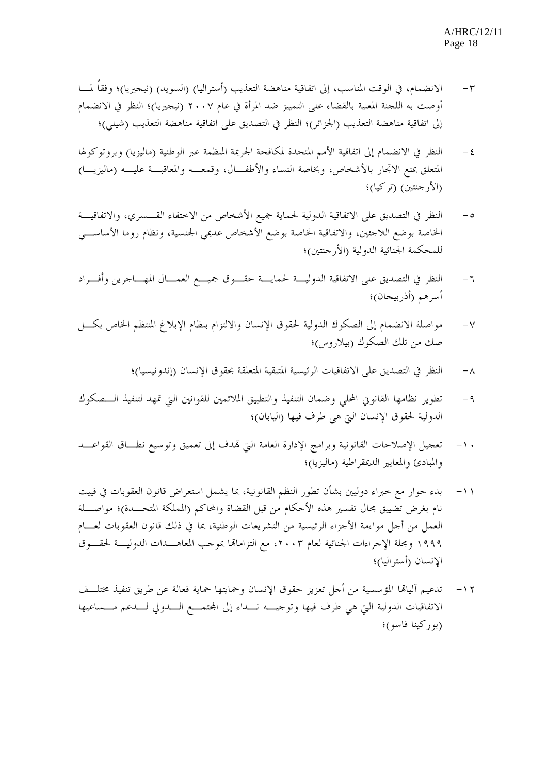- -٣ الانضمام، في الوقت المناسب، إلى اتفاقية مناهضة التعذيب (أستراليا) (السويد) (نيجيريا)؛ وفقاً لمـا أوصت به اللجنة المعنية بالقضاء على التمييز ضد المرأة في عام ٢٠٠٧ (نيجيريا)؛ النظر في الانضمام إلى اتفاقية مناهضة التعذيب (الجزائر)؛ النظر في التصديق على اتفاقية مناهضة التعذيب (شيلي)؛
- ٤ النظر في الانضمام إلى اتفاقية الأمم المتحدة لمكافحة الجريمة المنظمة عبر الوطنية (ماليزيا) وبروتوكولها المتعلق بمنع الاتجار بالأشخاص، وبخاصة النساء والأطفـال، وقمعـه والمعاقبـة عليـه (ماليزيـا) (الأرجنتين) (تركيا)؛
- -٥ النظر في التصديق على الاتفاقية الدولية لحماية جميع الأشخاص من الاختفاء القـسري، والاتفاقيـة الخاصة بوضع اللاجئين، والاتفاقية الخاصة بوضع الأشخاص عديمي الجنسية، ونظام روما الأساسـي للمحكمة الجنائية الدولية (الأرجنتين)؛
- -٦ النظر في التصديق على الاتفاقية الدوليـة لحمايـة حقـوق جميـع العمـال المهـاجرين وأفـراد أسرهم (أذربيجان)؛
- -٧ مواصلة الانضمام إلى الصكوك الدولية لحقوق الإنسان والالتزام بنظام الإبلاغ المنتظم الخاص بكـل صك من تلك الصكوك (بيلاروس)؛
	- -٨ النظر في التصديق على الاتفاقيات الرئيسية المتبقية المتعلقة بحقوق الإنسان (إندونيسيا)؛
- -٩ تطوير نظامها القانوني المحلي وضمان التنفيذ والتطبيق الملائمين للقوانين التي تمهد لتنفيذ الـصكوك الدولية لحقوق الإنسان التي هي طرف فيها (اليابان)؛
- -١٠ تعجيل الإصلاحات القانونية وبرامج الإدارة العامة التي هتدف إلى تعميق وتوسيع نطـاق القواعـد والمبادئ والمعايير الديمقراطية (ماليزيا)؛
- -١١ بدء حوار مع خبراء دوليين بشأن تطور النظم القانونية، بما يشمل استعراض قانون العقوبات في فييت نام بغرض تضييق مجال تفسير هذه الأحكام من قبل القضاة والمحاكم (المملكة المتحـدة)؛ مواصـلة العمل من أجل مواءمة الأجزاء الرئيسية من التشريعات الوطنية، بما في ذلك قانون العقوبات لعـام ١٩٩٩ ومجلة الإجراءات الجنائية لعام ،٢٠٠٣ مع التزاماهتا بموجب المعاهـدات الدوليـة لحقـوق الإنسان (أستراليا)؛
- -١٢ تدعيم آلياهتا المؤسسية من أجل تعزيز حقوق الإنسان وحمايتها حماية فعالة عن طريق تنفيذ مختلـف الاتفاقيات الدولية التي هي طرف فيها وتوجيـه نـداء إلى اجملتمـع الـدولي لـدعم مـساعيها (بوركينا فاسو)؛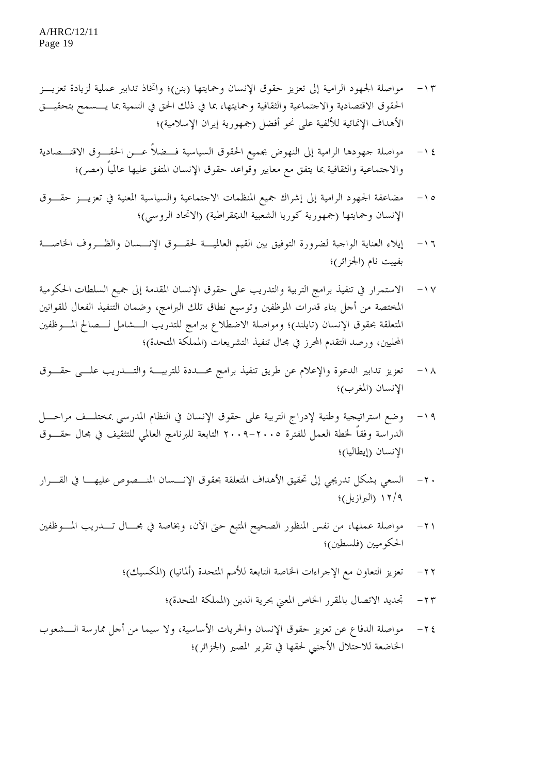- -١٣ مواصلة الجهود الرامية إلى تعزيز حقوق الإنسان وحمايتها (بنن)؛ واتخاذ تدابير عملية لزيادة تعزيـز الحقوق الاقتصادية والاجتماعية والثقافية وحمايتها، بما في ذلك الحق في التنمية بما يـسمح بتحقيـق الأهداف الإنمائية للألفية على نحو أفضل (جمهورية إيران الإسلامية)؛
- -١٤ مواصلة جهودها الرامية إلى النهوض بجميع الحقوق السياسية فـضلاً عـن الحقـوق الاقتـصادية والاجتماعية والثقافية بما يتفق مع معايير وقواعد حقوق الإنسان المتفق عليها عالمياً (مصر)؛
- -١٥ مضاعفة الجهود الرامية إلى إشراك جميع المنظمات الاجتماعية والسياسية المعنية في تعزيـز حقـوق الإنسان وحمايتها (جمهورية كوريا الشعبية الديمقراطية) (الاتحاد الروسي)؛
- -١٦ إيلاء العناية الواجبة لضرورة التوفيق بين القيم العالميـة لحقـوق الإنـسان والظـروف الخاصـة بفييت نام (الجزائر)؛
- -١٧ الاستمرار في تنفيذ برامج التربية والتدريب على حقوق الإنسان المقدمة إلى جميع السلطات الحكومية المختصة من أجل بناء قدرات الموظفين وتوسيع نطاق تلك البرامج، وضمان التنفيذ الفعال للقوانين المتعلقة بحقوق الإنسان (تايلند)؛ ومواصلة الاضطلاع ببرامج للتدريب الـشامل لـصالح المـوظفين المحليين، ورصد التقدم المحرز في مجال تنفيذ التشريعات (المملكة المتحدة)؛
- -١٨ تعزيز تدابير الدعوة والإعلام عن طريق تنفيذ برامج محـددة للتربيـة والتـدريب علـى حقـوق الإنسان (المغرب)؛
- -١٩ وضع استراتيجية وطنية لإدراج التربية على حقوق الإنسان في النظام المدرسي بمختلـف مراحـل الدراسة وفقاً لخطة العمل للفترة -٢٠٠٥ ٢٠٠٩ التابعة للبرنامج العالمي للتثقيف في مجال حقـوق الإنسان (إيطاليا)؛
- -٢٠ السعي بشكل تدريجي إلى تحقيق الأهداف المتعلقة بحقوق الإنـسان المنـصوص عليهـا في القـرار ١٢/٩ (البرازيل)؛
- -٢١ مواصلة عملها، من نفس المنظور الصحيح المتبع حتى الآن، وبخاصة في مجـال تـدريب المـ وظفين الحكوميين (فلسطين)؛
	- -٢٢ تعزيز التعاون مع الإجراءات الخاصة التابعة للأمم المتحدة (ألمانيا) (المكسيك)؛
		- -٢٣ تجديد الاتصال بالمقرر الخاص المعني بحرية الدين (المملكة المتحدة)؛
- -٢٤ مواصلة الدفاع عن تعزيز حقوق الإنسان والحريات الأساسية، ولا سيما من أجل مما رسة الـشعوب الخاضعة للاحتلال الأجنبي لحقها في تقرير المصير (الجزائر)؛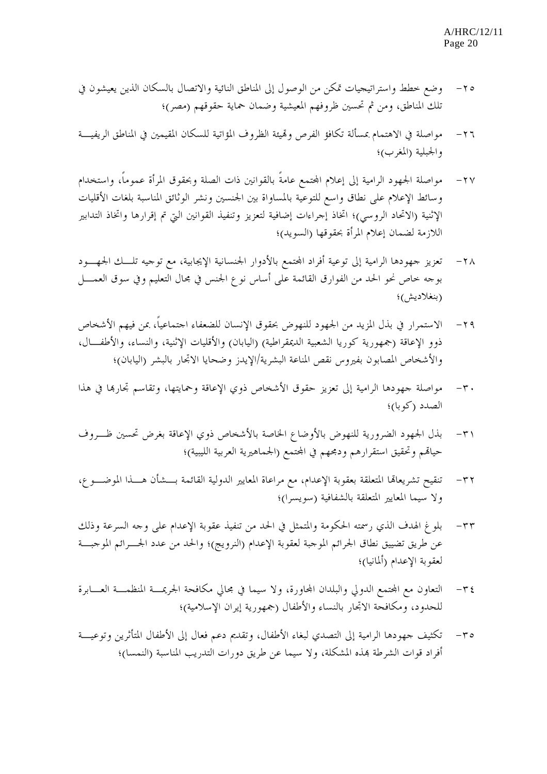- -٢٥ وضع خطط واستراتيجيات تمكن من الوصول إلى المناطق النائية والاتصال بالسكان الذين يعيشون في تلك المناطق، ومن ثم تحسين ظروفهم المعيشية وضمان حماية حقوقهم (مصر)؛
- -٢٦ مواصلة في الاهتمام بمسألة تكافؤ الفرص وهتيئة الظروف المؤاتية للسكان المقيمين في المناطق الريفيـة والجبلية (المغرب)؛
- -٢٧ مواصلة الجهود الرامية إلى إعلام اجملتمع عامةً بالقوانين ذات الصلة وبحقوق المرأة عموماً، واستخدام وسائط الإعلام على نطاق واسع للتوعية بالمساواة بين الجنسين ونشر الوثائق المناسبة بلغات الأقليات الإثنية (الاتحاد الروسي)؛ اتخاذ إجراءات إضافية لتعزيز وتنفيذ القوانين التي تم إقرارها واتخاذ التدابير اللازمة لضمان إعلام المرأة بحقوقها (السويد)؛
- ٢٨ تعزيز جهودها الرامية إلى توعية أفراد المجتمع بالأدوار الجنسانية الإيجابية، مع توجيه تلـــك الجهــــود بوجه خاص نحو الحد من الفوارق القائمة على أساس نوع الجنس في مجال التعليم وفي سوق العمـل (بنغلاديش)؛
- -٢٩ الاستمرار في بذل المزيد من الجهود للنهوض بحقوق الإنسان للضعفاء اجتماعياً، بمن فيهم الأشخاص ذوو الإعاقة (جمهورية كوريا الشعبية الديمقراطية) (اليابان) والأقليات الإثنية، والنساء، والأطفـال، والأشخاص المصابون بفيروس نقص المناعة البشرية/الإيدز وضحايا الاتجار بالبشر (اليابان)؛
- -٣٠ مواصلة جهودها الرامية إلى تعزيز حقوق الأشخاص ذوي الإعاقة وحمايتها، وتقاسم تجارهبا في هذا الصدد (كوبا)؛
- -٣١ بذل الجهود الضرورية للنهوض بالأوضاع الخاصة بالأشخاص ذوي الإعاقة بغرض تحسين ظـروف حياقم وتحقيق استقرارهم ودمجهم في المحتمع (الجماهيرية العربية الليبية)؛
- -٣٢ تنقيح تشريعاهتا المتعلقة بعقوبة الإعدام، مع مراعاة المعايير الدولية القائمة بـشأن هـذا الموضـوع، ولا سيما المعايير المتعلقة بالشفافية (سويسرا)؛
- -٣٣ بلوغ الهدف الذي رسمته الحكومة والمتمثل في الحد من تنفيذ عقوبة الإعدام على وجه السرعة وذلك عن طريق تضييق نطاق الجرائم الموجبة لعقوبة الإعدام (النرويج)؛ والحد من عدد الجـرائم الموجبـة لعقوبة الإعدام (ألمانيا)؛
- ٣٤- التعاون مع المجتمع الدولي والبلدان المحاورة، ولا سيما في مجالي مكافحة الجريمــة المنظمـــة العـــابرة للحدود، ومكافحة الاتجار بالنساء والأطفال (جمهورية إيران الإسلامية)؛
- -٣٥ تكثيف جهودها الرامية إلى التصدي لبغاء الأطفال، وتقديم دعم فعال إلى الأطفال المتأثرين وتوعيـة أفراد قوات الشرطة هبذه المشكلة، ولا سيما عن طريق دورات التدريب المناسبة (النمسا)؛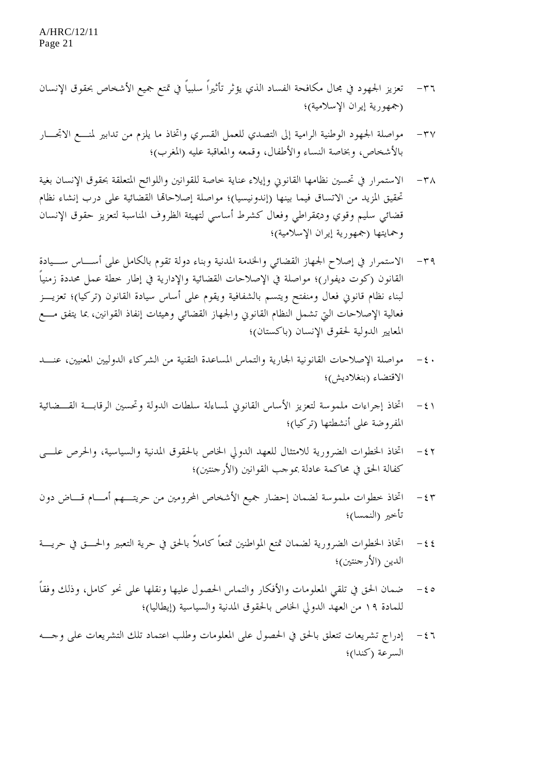- -٣٦ تعزيز الجهود في مجال مكافحة الفساد الذي يؤثر تأثيراً سلبياً في تمتع جميع الأشخاص بحقوق الإنسان (جمهورية إيران الإسلامية)؛
- -٣٧ مواصلة الجهود الوطنية الرامية إلى التصدي للعمل القسري واتخاذ ما يلزم من تدابير لمنـع الاتجـار بالأشخاص، وبخاصة النساء والأطفال، وقمعه والمعاقبة عليه (المغرب)؛
- ٣٨ الاستمرار في تحسين نظامها القانوين وإيلاء عناية خاصة للقوانين واللوائح المتعلقة بحقوق الإنسان بغية تحقيق المزيد من الاتساق فيما بينها (إندونيسيا)؛ مواصلة إصلاحاهتا القضائية على درب إنشاء نظام قضائي سليم وقوي وديمقراطي وفعال كشرط أساسي لتهيئة الظروف المناسبة لتعزيز حقوق الإنسان وحمايتها (جمهورية إيران الإسلامية)؛
- -٣٩ الاستمرار في إصلاح الجهاز القضائي والخدمة المدنية وبناء دولة تقوم بالكامل على أسـاس سـيادة القانون (كوت ديفوار)؛ مواصلة في الإصلاحات القضائية والإدارية في إطار خطة عمل محددة زمنياً لبناء نظام قانوني فعال ومنفتح ويتسم بالشفافية ويقوم على أساس سيادة القانون (تركيا)؛ تعزيـز فعالية الإصلاحات التي تشمل النظام القانوني والجهاز القضائي وهيئات إنفاذ القوانين، بما يتفق مـع المعايير الدولية لحقوق الإنسان (باكستان)؛
- · ٤ مواصلة الإصلاحات القانونية الجارية والتماس المساعدة التقنية من الشركاء الدوليين المعنيين، عنـــد الاقتضاء (بنغلاديش)؛
- ٤١ اتخاذ إجراءات ملموسة لتعزيز الأساس القانوني لمساءلة سلطات الدولة وتحسين الرقابـــة القـــضائية المفروضة على أنشطتها (تركيا)؛
- -٤٢ اتخاذ الخطوات الضرورية للامتثال للعهد الدولي الخاص بالحقوق المدنية والسياسية، والحرص علـى كفالة الحق في محاكمة عادلة بموجب القوانين (الأرجنتين)؛
- -٤٣ اتخاذ خطوات ملموسة لضمان إحضار جميع الأشخاص المحرومين من حريتـهم أمـام قـاض دون تأخير (النمسا)؛
- -٤٤ اتخاذ الخطوات الضرورية لضمان تمتع المواطنين تمتعاً كاملاً بالحق في حرية التعبير والحـق في حريـة الدين (الأرجنتين)؛
- -٤٥ ضمان الحق في تلقي المعلومات والأفكار والتماس الحصول عليها ونقلها على نحو كامل، وذلك وفقاً للمادة ١٩ من العهد الدولي الخاص بالحقوق المدنية والسياسية (إيطاليا)؛
- -٤٦ إدراج تشريعات تتعلق بالحق في الحصول على المعلومات وطلب اعتماد تلك التشريعات على وجـه السرعة (كندا)؛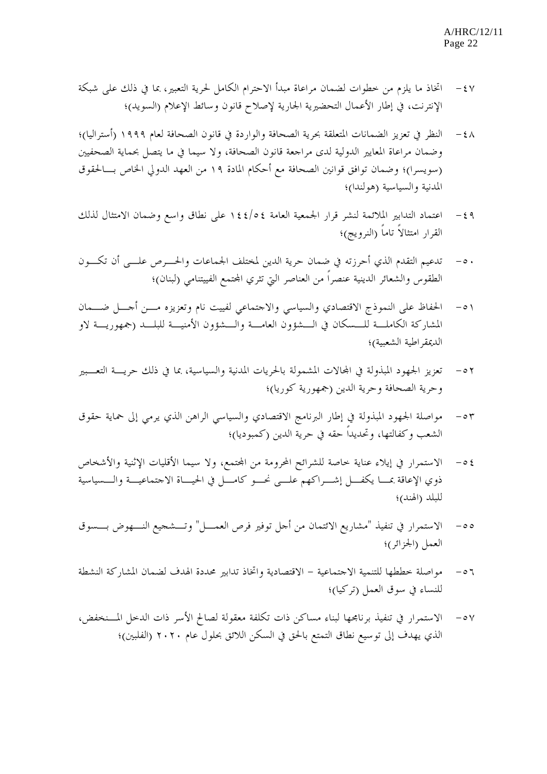- -٤٧ اتخاذ ما يلزم من خطوات لضمان مراعاة مبدأ الاحترام الكامل لحرية التعبير، بما في ذلك على شبكة الإنترنت، في إطار الأعمال التحضيرية الجارية لإصلاح قانون وسائط الإعلام (السويد)؛
- -٤٨ النظر في تعزيز الضمانات المتعلقة بحرية الصحافة والواردة في قانون الصحافة لعام ١٩٩٩ (أستراليا)؛ وضمان مراعاة المعايير الدولية لدى مراجعة قانون الصحافة، ولا سيما في ما يتصل بحماية الصحفيين (سويسرا)؛ وضمان توافق قوانين الصحافة مع أحكام المادة ١٩ من العهد الدولي الخاص بـالحقوق المدنية والسياسية (هولندا)؛
- -٤٩ اعتماد التدابير الملائمة لنشر قرار الجمعية العامة ١٤٤/٥٤ على نطاق واسع وضمان الامتثال لذلك القرار امتثالاً تاماً (النرويج)؛
- -٥٠ تدعيم التقدم الذي أحرزته في ضمان حرية الدين لمختلف الجماعات والحـرص علـى أن تكـون الطقوس والشعائر الدينية عنصراً من العناصر التي تثري المجتمع الفييتنامي (لبنان)؛
- -٥١ الحفاظ على النموذج الاقتصادي والسياسي والاجتماعي لفييت نام وتعزيزه مـن أجـل ضـمان المشاركة الكاملـة للـسكان في الـشؤون العامـة والـشؤون الأمنيـة للبلـد (جمهوريـة لاو الديمقراطية الشعبية)؛
- -٥٢ تعزيز الجهود المبذولة في اجملالات المشمولة بالحريات المدنية والسياسية، بما في ذلك حريـة التعـبير وحرية الصحافة وحرية الدين (جمهورية كوريا)؛
- ٥٣ مواصلة الجهود المبذولة في إطار البرنامج الاقتصادي والسياسي الراهن الذي يرمي إلى حماية حقوق الشعب وكفالتها، وتحديداً حقه في حرية الدين (كمبوديا)؛
- -٥٤ الاستمرار في إيلاء عناية خاصة للشرائح المحرومة من اجملتمع، ولا سيما الأقليات الإثنية والأشخاص ذوي الإعاقة بمـا يكفـل إشـراكهم علـى نحـو كامـل في الحيـاة الاجتماعيـة والـسياسية للبلد (الهند)؛
- -٥٥ الاستمرار في تنفيذ "مشاريع الائتمان من أجل توفير فرص العمـل" وتـشجيع النـهوض بـسوق العمل (الجزائر)؛
- -٥٦ مواصلة خططها للتنمية الاجتماعية الاقتصادية واتخاذ تدابير محددة الهدف لضمان المشاركة النشطة للنساء في سوق العمل (تركيا)؛
- -٥٧ الاستمرار في تنفيذ برنامجها لبناء مساكن ذات تكلفة معقولة لصالح الأسر ذات الدخل المـنخفض، الذي يهدف إلى توسيع نطاق التمتع بالحق في السكن اللائق بحلول عام ٢٠٢٠ (الفلبين)؛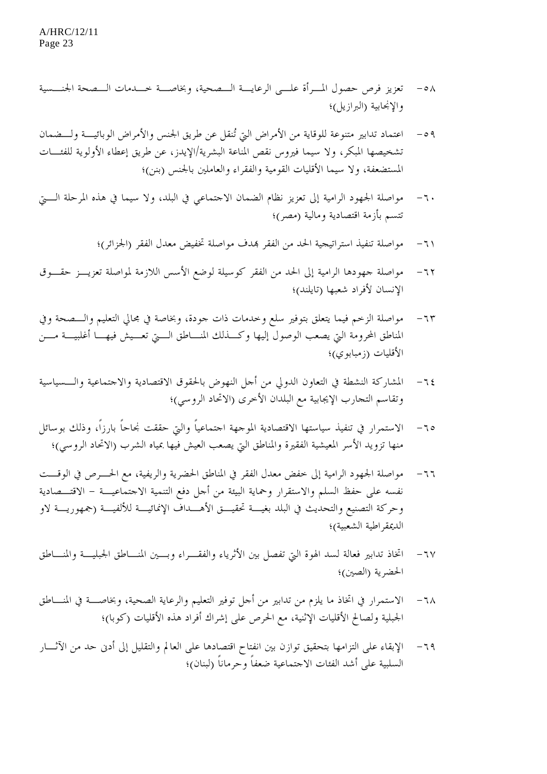- -٥٨ تعزيز فرص حصول المـرأة علـى الرعايـة الـصحية، وبخاصـة خـدمات الـصحة الجنـسية والإنجابية (البرازيل)؛
- -٥٩ اعتماد تدابير متنوعة للوقاية من الأمراض التي تُنقل عن طريق الجنس والأمراض الوبائيـة و لـضمان تشخيصها المبكر، ولا سيما فيروس نقص المناعة البشرية/الإيدز، عن طريق إعطاء الأولوية للفئـات المستضعفة، ولا سيما الأقليات القومية والفقراء والعاملين بالجنس (بنن)؛
- -٦٠ مواصلة الجهود الرامية إلى تعزيز نظام الضمان الاجتماعي في البلد، ولا سيما في هذه المرحلة الـتي تتسم بأزمة اقتصادية ومالية (مصر)؛
	- -٦١ مواصلة تنفيذ استراتيجية الحد من الفقر هبدف مواصلة تخفيض معدل الفقر (الجزائر)؛
- -٦٢ مواصلة جهودها الرامية إلى الحد من الفقر كوسيلة لوضع الأسس اللازمة لمواصلة تعزيـز حقـوق الإنسان لأفراد شعبها (تايلند)؛
- -٦٣ مواصلة الزخم فيما يتعلق بتوفير سلع وخدمات ذات جودة ، وبخاصة في مجالي التعليم والـصحة وفي المناطق المحرومة التي يصعب الوصول إليها وكـذلك المنـاطق الـتي تعـيش فيهـا أغلبيـة مـن الأقليات (زمبابوي)؛
- -٦٤ المشاركة النشطة في التعاون الدولي من أجل النهوض بالحقوق الاقتصادية والاجتماعية والـسياسية وتقاسم التجارب الإيجابية مع البلدان الأخرى (الاتحاد الروسي)؛
- -٦٥ الاستمرار في تنفيذ سياستها الاقتصادية الموجهة اجتماعياً والتي حققت نجاحاً بارزاً، وذلك بوسائل منها تزويد الأسر المعيشية الفقيرة والمناطق التي يصعب العيش فيها بمياه الشرب (الاتحاد الروسي)؛
- -٦٦ مواصلة الجهود الرامية إلى خفض معدل الفقر في المناطق الحضرية والريفية، مع الحـرص في الوقـت نفسه على حفظ السلم والاستقرار وحماية البيئة من أجل دفع التنمية الاجتماعيـة - الاقتـصادية وحركة التصنيع والتحديث في البلد بغيـة تحقيـق الأهـداف الإنمائيـة للألفيـة (جمهوريـة لاو الديمقراطية الشعبية)؛
- -٦٧ اتخاذ تدابير فعالة لسد الهوة التي تفصل بين الأثرياء والفقـراء وبـين المنـاطق الجبليـة والمنـاطق الحضرية (الصين)؛
- -٦٨ الاستمرار في اتخاذ ما يلزم من تدابير من أجل توفير التعليم والرعاية الصحية، وبخاصـة في المنـاطق الجبلية ولصالح الأقليات الإثنية، مع الحرص على إشراك أفراد هذه الأقليات (كوبا)؛
- -٦٩ الإبقاء على التزامها بتحقيق توازن بين انفتاح اقتصادها على العالم والتقليل إلى أدنى حد من الآثـار السلبية على أشد الفئات الاجتماعية ضعفاً وحرماناً (لبنان)؛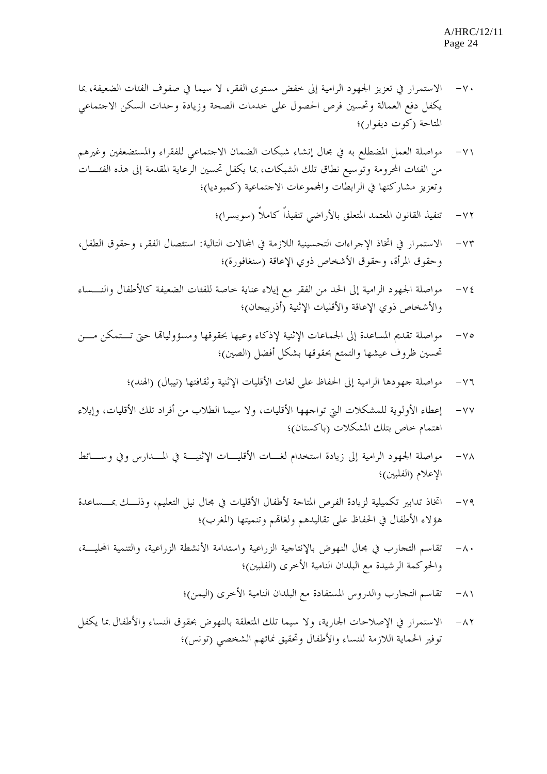- -٧٠ الاستمرار في تعزيز الجهود الرامية إلى خفض مستوى الفقر، لا سيما في صفوف الفئات الضعيفة، بما يكفل دفع العمالة وتحسين فرص الحصول على خدمات الصحة وزيادة وحدات السكن الاجتماعي المتاحة (كوت ديفوار)؛
- -٧١ مواصلة العمل المضطلع به في مجال إنشاء شبكات الضمان الاجتماعي للفقراء والمستضعفين وغيرهم من الفئات المحرومة وتوسيع نطاق تلك الشبكات، بما يكفل تحسين الرعاية المقدمة إلى هذه الفئـات وتعزيز مشاركتها في الرابطات واجملموعات الاجتماعية (كمبوديا)؛
	- -٧٢ تنفيذ القانون المعتمد المتعلق بالأراضي تنفيذاً كاملاً (سويسرا)؛
- -٧٣ الاستمرار في اتخاذ الإجراءات التحسينية اللازمة في اجملالات التالي ة: استئصال الفقر، وحقوق الطفل، وحقوق المرأة، وحقوق الأشخاص ذوي الإعاقة (سنغافورة)؛
- -٧٤ مواصلة الجهود الرامية إلى الحد من الفقر مع إيلاء عناية خاصة للفئات الضعيفة كالأطفال والنـساء والأشخاص ذوي الإعاقة والأقليات الإثنية (أذربيجان)؛
- -٧٥ مواصلة تقديم المساعدة إلى الجماعات الإثنية لإذكاء وعيها بحقوقها ومسؤولياهتا حتى تـتمكن مـن تحسين ظروف عيشها والتمتع بحقوقها بشكل أفضل (الصين)؛
	- -٧٦ مواصلة جهودها الرامية إلى الحفاظ على لغات الأقليات الإثنية وثقافتها (نيبال) (الهند)؛
- -٧٧ إعطاء الأولوية للمشكلات التي تواجهها الأقليات، ولا سيما الطلاب من أفراد تلك الأقليات، وإيلاء اهتمام خاص بتلك المشكلات (باكستان)؛
- -٧٨ مواصلة الجهود الرامية إلى زيادة استخدام لغـات الأقليـات الإثنيـة في المـدارس وفي وسـائط الإعلام (الفلبين)؛
- -٧٩ اتخاذ تدابير تكميلية لزيادة الفرص المتاحة لأطفال الأقليات في مجال نيل التعليم، وذلـك بمـساعدة هؤلاء الأطفال في الحفاظ على تقاليدهم ولغاهتم وتنميتها (المغرب)؛
- -٨٠ تقاسم التجارب في مجال النهوض بالإنتاجية الزراعية واستدامة الأنشطة الزراعية، والتنمية المحليـة، والحوكمة الرشيدة مع البلدان النامية الأخرى (الفلبين)؛
	- -٨١ تقاسم التجارب والدروس المستفادة مع البلدان النامية الأخرى (اليمن)؛
- -٨٢ الاستمرار في الإصلاحات الجارية، ولا سيما تلك المتعلقة بالنهوض بحقوق النساء والأطفال بما يكفل توفير الحماية اللازمة للنساء والأطفال وتحقيق نمائهم الشخصي (تونس)؛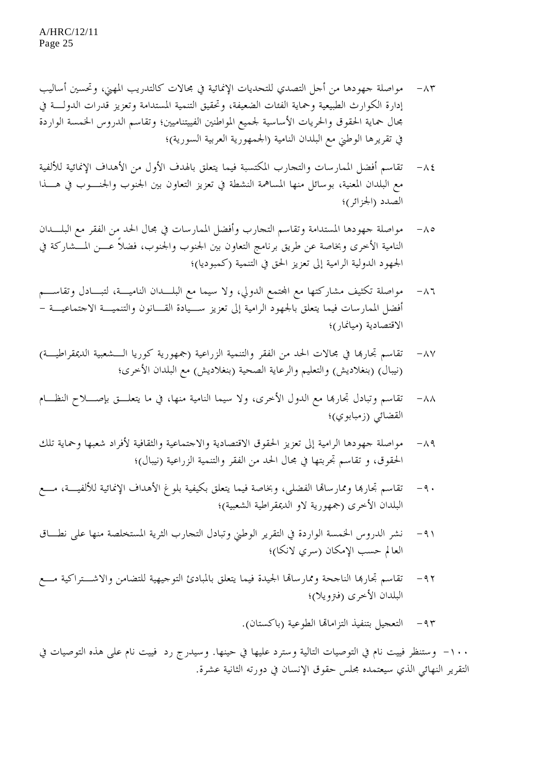- -٨٣ مواصلة جهودها من أجل التصدي للتحديات الإنمائية في مجالات كالتدريب المهني، وتحسين أساليب إدارة الكوارث الطبيعية وحماية الفئات الضعيفة، وتحقيق التنمية المستدامة وتعزيز قدرات الدولـة في مجال حماية الحقوق والحريات الأساسية لجميع المواطنين الفييتناميين؛ وتقاسم الدروس الخمسة الواردة في تقريرها الوطني مع البلدان النامية (الجمهورية العربية السورية)؛
- -٨٤ تقاسم أفضل الممارسات والتجارب المكتسبة فيما يتعلق بالهدف الأول من الأهداف الإنمائية للألفية مع البلدان المعنية، بوسائل منها المساهمة النشطة في تعزيز التعاون بين الجنوب والجنـوب في هـذا الصدد (الجزائر)؛
- -٨٥ مواصلة جهودها المستدامة وتقاسم التجارب وأفضل الممارسات في مجال الحد من الفقر مع البلـدان النامية الأخرى وبخاصة عن طريق برنامج التعاون بين الجنوب والجنوب، فضلاً عـن المـشاركة في الجهود الدولية الرامية إلى تعزيز الحق في التنمية (كمبوديا)؛
- -٨٦ مواصلة تكثيف مشاركتها مع اجملتمع الدولي، ولا سيما مع البلـدان الناميـة، لتبـادل وتقاسـم أفضل الممارسات فيما يتعلق بالجهود الرامية إلى تعزيز سـيادة القـانون والتنميـة الاجتماعيـة - الاقتصادية (ميانمار)؛
- -٨٧ تقاسم تجارهبا في مجالات الحد من الفقر والتنمية الزراعية (جمهورية كوريا الـشعبية الديمقراطيـة) (نيبال) (بنغلاديش) والتعليم والرعاية الصحية (بنغلاديش) مع البلدان الأخرى؛
- -٨٨ تقاسم وتبادل تجارهبا مع الدول الأخرى، ولا سيما النامية منها، في ما يتعلـق بإصـلاح النظـام القضائي (زمبابوي)؛
- -٨٩ مواصلة جهودها الرامية إلى تعزيز الحقوق الاقتصادية والاجتماعية والثقافية لأفراد شعبها وحماية تلك الحقوق، و تقاسم تجربتها في مجال الحد من الفقر والتنمية الزراعية (نيبال)؛
- -٩٠ تقاسم تجارهبا وممارساهتا الفضلى، وبخاصة فيما يتعلق بكيفية بلوغ الأهداف الإنمائية للألفيـة، مـع البلدان الأخرى (جمهورية لاو الديمقراطية الشعبية)؛
- -٩١ نشر الدروس الخمسة الواردة في التقرير الوطني وتبادل التجارب الثرية المستخلصة منها على نطـاق العالم حسب الإمكان (سري لانكا)؛
- -٩٢ تقاسم تجارهبا الناجحة وممارساهتا الجيدة فيما يتعلق بالمبادئ التوجيهية للتضامن والاشـتراكية مـع البلدان الأخرى (فترويلا)؛
	- -٩٣ التعجيل بتنفيذ التزاماهتا الطوعية (باكستان).

-١٠٠ وستنظر فييت نام في التوصيات التالية وسترد عليها في حينها . وسيدرج رد فييت نام على هذه التوصيات في التقرير النهائي الذي سيعتمده مجلس حقوق الإنسان في دورته الثانية عشرة.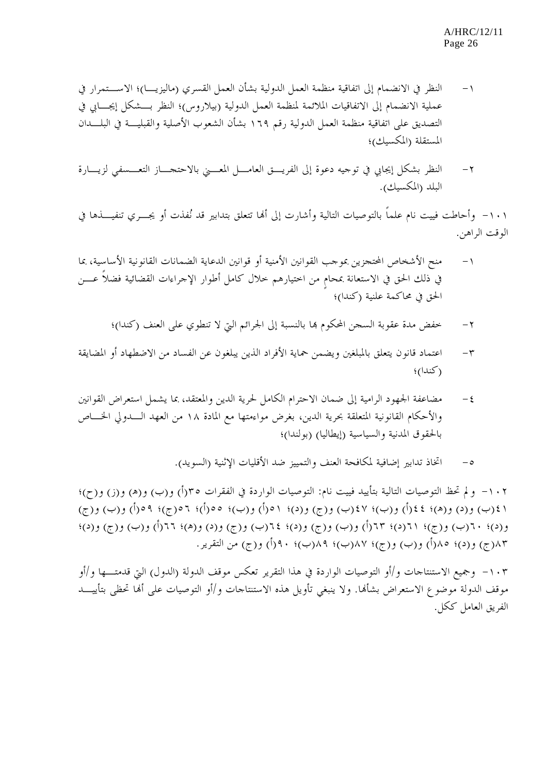- -١ النظر في الانضمام إلى اتفاقية منظمة العمل الدولية بشأن العمل القسري (ماليزيـا)؛ الاسـتمرار في عملية الانضمام إلى الاتفاقيات الملائمة لمنظمة العمل الدولية (بيلاروس)؛ النظر بـشكل إيجـابي في التصديق على اتفاقية منظمة العمل الدولية رقم ١٦٩ بشأن الشعوب الأصلية والقبليـة في البلـدان المستقلة (المكسيك)؛
- -٢ النظر بشكل إيجابي في توجيه دعوة إلى الفريـق العامـل المعـني بالاحتجـاز التعـسفي لزيـارة البلد (المكسيك).

١٠١ - وأحاطت فييت نام علماً بالتوصيات التالية وأشارت إلى أها تتعلق بتدابير قد نُفذت أو يجــري تنفيـــذها في الوقت الراهن.

- -١ منح الأشخاص المحتجزين بموجب القوانين الأمنية أو قوانين الدعاية الضمانات القانونية الأساسية، بما في ذلك الحق في الاستعانة بمحام من اختيارهم خلال كامل أطوار الإجراءات القضائية فضلاً عـــن الحق في محاكمة علنية (كندا)؛
	- -٢ خفض مدة عقوبة السجن المحكوم هبا بالنسبة إلى الجرائم التي لا تنطوي على العنف (كندا)؛
- -٣ اعتماد قانون يتعلق بالمبلغين ويضمن حماية الأفراد الذين يبلغون عن الفساد من الاضطهاد أو المضايقة (كندا)؛
- -٤ مضاعفة الجهود الرامية إلى ضمان الاحترام الكامل لحرية الدين والمعتقد، بما يشمل استعراض القوانين والأحكام القانونية المتعلقة بحرية الدين، بغرض مواءمتها مع المادة ١٨ من العهد الـدولي الخـاص بالحقوق المدنية والسياسية (إيطاليا) (بولندا)؛
	- -٥ اتخاذ تدابير إضافية لمكافحة العنف والتمييز ضد الأقليات الإثنية (السويد).

-١٠٢ ولم تحظ التوصيات التالية بتأييد فييت نام: التوصيات الواردة في الفقرات ٣٥(أ) و(ب) و(ه) و(ز) و(ح)؛ ٤١(ب) و(د) و(ه)؛ ٤٤(أ) و(ب)؛ ٤٧(ب) و(ج) و(د)؛ ٥١(أ) و(ب)؛ ٥٥(أ)؛ ٥٦(ج)؛ ٥٩(أ) و(ب) و(ج) و(د)؛ ٦٠(ب) و(ج)؛ ٦١(د)؛ ٦٣(أ) و(ب) و(ج) و(د)؛ ٦٤(ب) و(ج) و(د) و(ه)؛ ٦٦(أ) و(ب) و(ج) و(د)؛ ٨٣(ج) و(د)؛ ٨٥(أ) و(ب) و(ج)؛ ٨٧(ب)؛ ٨٩(ب)؛ ٩٠(أ) و(ج) من التقرير.

-١٠٣ وجميع الاستنتاجات و/أو التوصيات الواردة في هذا التقرير تعكس موقف الدولة (الدول) التي قدمتـها و/أو موقف الدولة موضوع الاستعراض بشأهنا. ولا ينبغي تأويل هذه الاستنتاجات و/أو التوصيات على أهنا تحظى بتأييـد الفريق العامل ككل.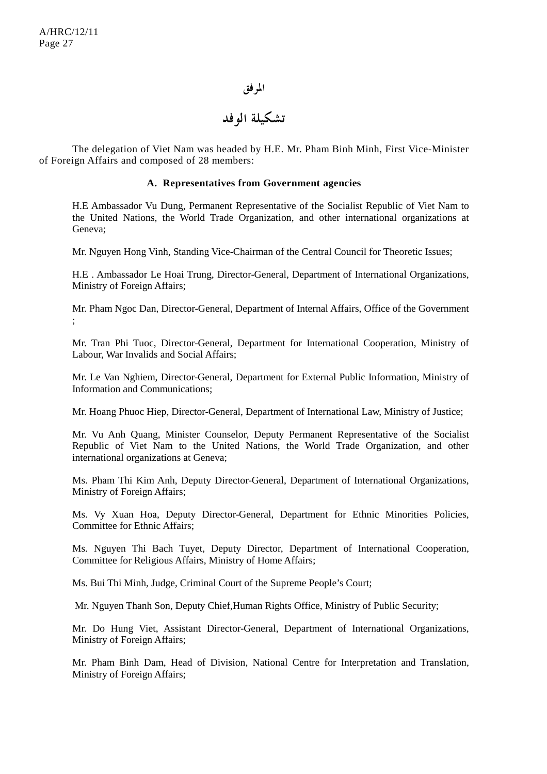#### **المرفق**

## **تشكيلة الوفد**

 The delegation of Viet Nam was headed by H.E. Mr. Pham Binh Minh, First Vice-Minister of Foreign Affairs and composed of 28 members:

#### **A. Representatives from Government agencies**

H.E Ambassador Vu Dung, Permanent Representative of the Socialist Republic of Viet Nam to the United Nations, the World Trade Organization, and other international organizations at Geneva;

Mr. Nguyen Hong Vinh, Standing Vice-Chairman of the Central Council for Theoretic Issues;

H.E . Ambassador Le Hoai Trung, Director-General, Department of International Organizations, Ministry of Foreign Affairs;

Mr. Pham Ngoc Dan, Director-General, Department of Internal Affairs, Office of the Government ;

Mr. Tran Phi Tuoc, Director-General, Department for International Cooperation, Ministry of Labour, War Invalids and Social Affairs;

Mr. Le Van Nghiem, Director-General, Department for External Public Information, Ministry of Information and Communications;

Mr. Hoang Phuoc Hiep, Director-General, Department of International Law, Ministry of Justice;

Mr. Vu Anh Quang, Minister Counselor, Deputy Permanent Representative of the Socialist Republic of Viet Nam to the United Nations, the World Trade Organization, and other international organizations at Geneva;

Ms. Pham Thi Kim Anh, Deputy Director-General, Department of International Organizations, Ministry of Foreign Affairs;

Ms. Vy Xuan Hoa, Deputy Director-General, Department for Ethnic Minorities Policies, Committee for Ethnic Affairs;

Ms. Nguyen Thi Bach Tuyet, Deputy Director, Department of International Cooperation, Committee for Religious Affairs, Ministry of Home Affairs;

Ms. Bui Thi Minh, Judge, Criminal Court of the Supreme People's Court;

Mr. Nguyen Thanh Son, Deputy Chief,Human Rights Office, Ministry of Public Security;

Mr. Do Hung Viet, Assistant Director-General, Department of International Organizations, Ministry of Foreign Affairs;

Mr. Pham Binh Dam, Head of Division, National Centre for Interpretation and Translation, Ministry of Foreign Affairs;